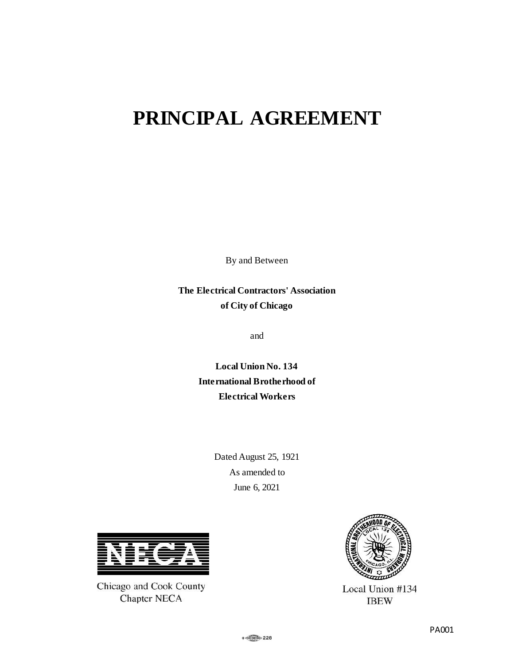# **PRINCIPAL AGREEMENT**

By and Between

**The Electrical Contractors' Association of City of Chicago**

and

**Local Union No. 134 International Brotherhood of Electrical Workers**

> Dated August 25, 1921 As amended to June 6, 2021



Chicago and Cook County Chapter NECA



Local Union #134 **IBEW**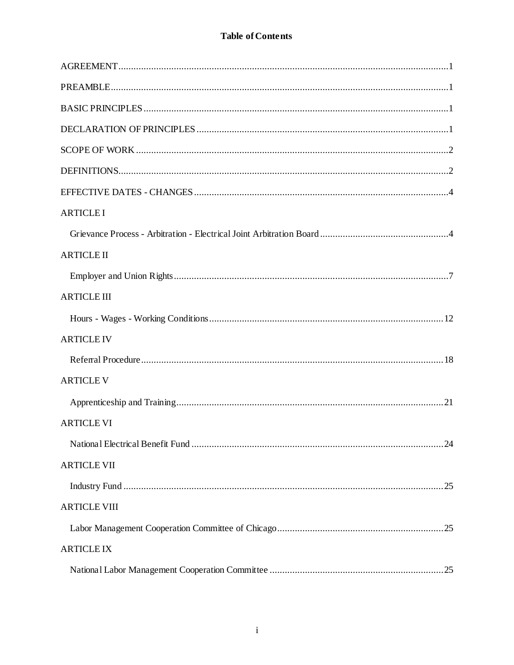| <b>ARTICLE I</b>    |  |
|---------------------|--|
|                     |  |
| <b>ARTICLE II</b>   |  |
|                     |  |
| <b>ARTICLE III</b>  |  |
|                     |  |
| <b>ARTICLE IV</b>   |  |
|                     |  |
| <b>ARTICLE V</b>    |  |
|                     |  |
| <b>ARTICLE VI</b>   |  |
|                     |  |
| <b>ARTICLE VII</b>  |  |
|                     |  |
| <b>ARTICLE VIII</b> |  |
|                     |  |
| <b>ARTICLE IX</b>   |  |
|                     |  |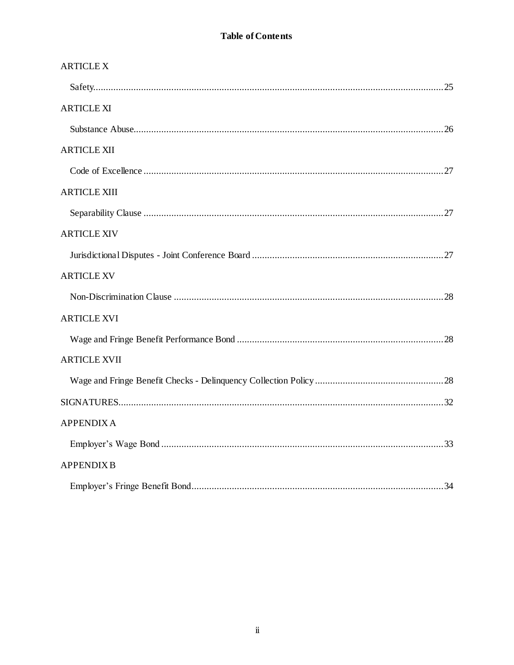| <b>ARTICLE X</b>    |  |
|---------------------|--|
|                     |  |
| <b>ARTICLE XI</b>   |  |
|                     |  |
| <b>ARTICLE XII</b>  |  |
|                     |  |
| <b>ARTICLE XIII</b> |  |
|                     |  |
| <b>ARTICLE XIV</b>  |  |
|                     |  |
| <b>ARTICLE XV</b>   |  |
|                     |  |
| <b>ARTICLE XVI</b>  |  |
|                     |  |
| <b>ARTICLE XVII</b> |  |
|                     |  |
|                     |  |
| <b>APPENDIXA</b>    |  |
|                     |  |
| <b>APPENDIX B</b>   |  |
|                     |  |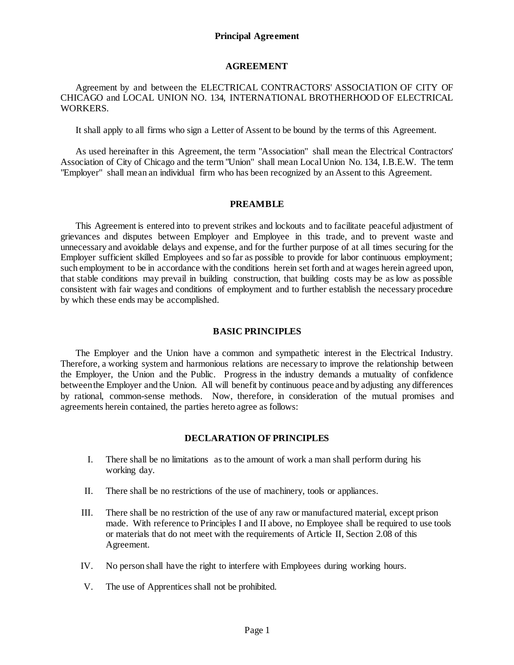#### **AGREEMENT**

#### <span id="page-4-0"></span>Agreement by and between the ELECTRICAL CONTRACTORS' ASSOCIATION OF CITY OF CHICAGO and LOCAL UNION NO. 134, INTERNATIONAL BROTHERHOOD OF ELECTRICAL WORKERS.

It shall apply to all firms who sign a Letter of Assent to be bound by the terms of this Agreement.

As used hereinafter in this Agreement, the term "Association" shall mean the Electrical Contractors' Association of City of Chicago and the term "Union" shall mean Local Union No. 134, I.B.E.W. The term "Employer" shall mean an individual firm who has been recognized by an Assent to this Agreement.

#### **PREAMBLE**

<span id="page-4-1"></span>This Agreement is entered into to prevent strikes and lockouts and to facilitate peaceful adjustment of grievances and disputes between Employer and Employee in this trade, and to prevent waste and unnecessary and avoidable delays and expense, and for the further purpose of at all times securing for the Employer sufficient skilled Employees and so far as possible to provide for labor continuous employment; such employment to be in accordance with the conditions herein set forth and at wages herein agreed upon, that stable conditions may prevail in building construction, that building costs may be as low as possible consistent with fair wages and conditions of employment and to further establish the necessary procedure by which these ends may be accomplished.

#### **BASIC PRINCIPLES**

<span id="page-4-2"></span>The Employer and the Union have a common and sympathetic interest in the Electrical Industry. Therefore, a working system and harmonious relations are necessary to improve the relationship between the Employer, the Union and the Public. Progress in the industry demands a mutuality of confidence between the Employer and the Union. All will benefit by continuous peace and by adjusting any differences by rational, common-sense methods. Now, therefore, in consideration of the mutual promises and agreements herein contained, the parties hereto agree as follows:

## **DECLARATION OF PRINCIPLES**

- <span id="page-4-3"></span>I. There shall be no limitations as to the amount of work a man shall perform during his working day.
- II. There shall be no restrictions of the use of machinery, tools or appliances.
- III. There shall be no restriction of the use of any raw or manufactured material, except prison made. With reference to Principles I and II above, no Employee shall be required to use tools or materials that do not meet with the requirements of Article II, Section 2.08 of this Agreement.
- IV. No person shall have the right to interfere with Employees during working hours.
- V. The use of Apprentices shall not be prohibited.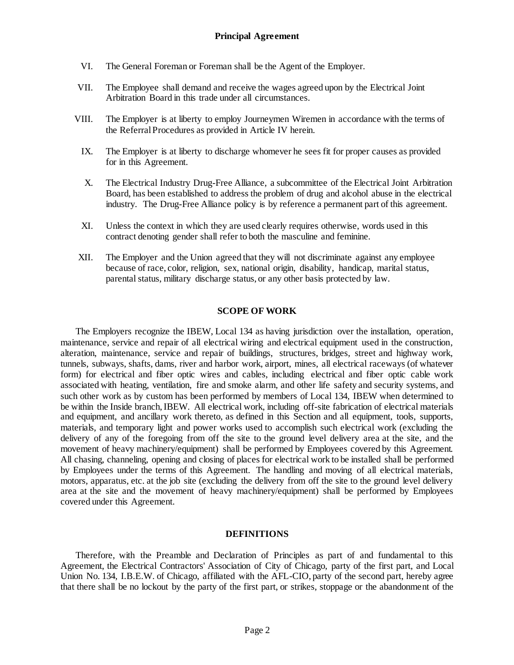- VI. The General Foreman or Foreman shall be the Agent of the Employer.
- VII. The Employee shall demand and receive the wages agreed upon by the Electrical Joint Arbitration Board in this trade under all circumstances.
- VIII. The Employer is at liberty to employ Journeymen Wiremen in accordance with the terms of the Referral Procedures as provided in Article IV herein.
	- IX. The Employer is at liberty to discharge whomever he sees fit for proper causes as provided for in this Agreement.
	- X. The Electrical Industry Drug-Free Alliance, a subcommittee of the Electrical Joint Arbitration Board, has been established to address the problem of drug and alcohol abuse in the electrical industry. The Drug-Free Alliance policy is by reference a permanent part of this agreement.
	- XI. Unless the context in which they are used clearly requires otherwise, words used in this contract denoting gender shall refer to both the masculine and feminine.
- XII. The Employer and the Union agreed that they will not discriminate against any employee because of race, color, religion, sex, national origin, disability, handicap, marital status, parental status, military discharge status, or any other basis protected by law.

#### **SCOPE OF WORK**

<span id="page-5-0"></span>The Employers recognize the IBEW, Local 134 as having jurisdiction over the installation, operation, maintenance, service and repair of all electrical wiring and electrical equipment used in the construction, alteration, maintenance, service and repair of buildings, structures, bridges, street and highway work, tunnels, subways, shafts, dams, river and harbor work, airport, mines, all electrical raceways (of whatever form) for electrical and fiber optic wires and cables, including electrical and fiber optic cable work associated with heating, ventilation, fire and smoke alarm, and other life safety and security systems, and such other work as by custom has been performed by members of Local 134, IBEW when determined to be within the Inside branch, IBEW. All electrical work, including off-site fabrication of electrical materials and equipment, and ancillary work thereto, as defined in this Section and all equipment, tools, supports, materials, and temporary light and power works used to accomplish such electrical work (excluding the delivery of any of the foregoing from off the site to the ground level delivery area at the site, and the movement of heavy machinery/equipment) shall be performed by Employees covered by this Agreement. All chasing, channeling, opening and closing of places for electrical work to be installed shall be performed by Employees under the terms of this Agreement. The handling and moving of all electrical materials, motors, apparatus, etc. at the job site (excluding the delivery from off the site to the ground level delivery area at the site and the movement of heavy machinery/equipment) shall be performed by Employees covered under this Agreement.

#### **DEFINITIONS**

<span id="page-5-1"></span>Therefore, with the Preamble and Declaration of Principles as part of and fundamental to this Agreement, the Electrical Contractors' Association of City of Chicago, party of the first part, and Local Union No. 134, I.B.E.W. of Chicago, affiliated with the AFL-CIO, party of the second part, hereby agree that there shall be no lockout by the party of the first part, or strikes, stoppage or the abandonment of the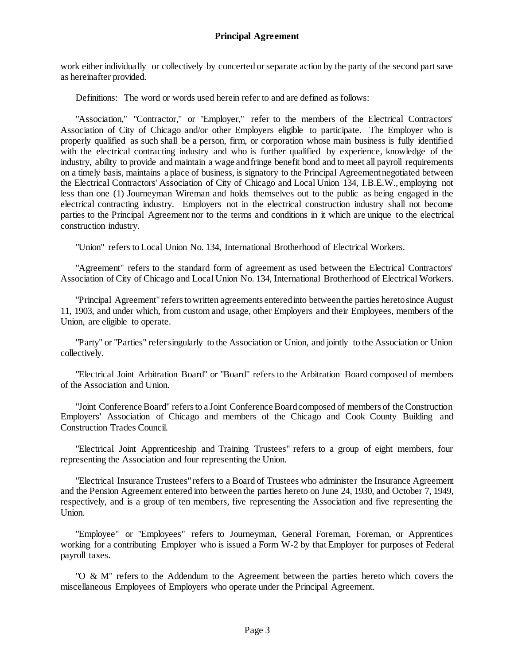work either individually or collectively by concerted or separate action by the party of the second part save as hereinafter provided.

Definitions: The word or words used herein refer to and are defined as follows:

"Association," "Contractor," or "Employer," refer to the members of the Electrical Contractors' Association of City of Chicago and/or other Employers eligible to participate. The Employer who is properly qualified as such shall be a person, firm, or corporation whose main business is fully identified with the electrical contracting industry and who is further qualified by experience, knowledge of the industry, ability to provide and maintain a wage and fringe benefit bond and to meet all payroll requirements on a timely basis, maintains a place of business, is signatory to the Principal Agreement negotiated between the Electrical Contractors' Association of City of Chicago and Local Union 134, I.B.E.W., employing not less than one (1) Journeyman Wireman and holds themselves out to the public as being engaged in the electrical contracting industry. Employers not in the electrical construction industry shall not become parties to the Principal Agreement nor to the terms and conditions in it which are unique to the electrical construction industry.

"Union" refers to Local Union No. 134, International Brotherhood of Electrical Workers.

"Agreement" refers to the standard form of agreement as used between the Electrical Contractors' Association of City of Chicago and Local Union No. 134, International Brotherhood of Electrical Workers.

"Principal Agreement" refers to written agreements entered into between the parties hereto since August 11, 1903, and under which, from custom and usage, other Employers and their Employees, members of the Union, are eligible to operate.

"Party" or "Parties" refer singularly to the Association or Union, and jointly to the Association or Union collectively.

"Electrical Joint Arbitration Board" or "Board" refers to the Arbitration Board composed of members of the Association and Union.

"Joint Conference Board" refers to a Joint Conference Board composed of members of the Construction Employers' Association of Chicago and members of the Chicago and Cook County Building and Construction Trades Council.

"Electrical Joint Apprenticeship and Training Trustees" refers to a group of eight members, four representing the Association and four representing the Union.

"Electrical Insurance Trustees" refers to a Board of Trustees who administer the Insurance Agreement and the Pension Agreement entered into between the parties hereto on June 24, 1930, and October 7, 1949, respectively, and is a group of ten members, five representing the Association and five representing the Union.

"Employee" or "Employees" refers to Journeyman, General Foreman, Foreman, or Apprentices working for a contributing Employer who is issued a Form W-2 by that Employer for purposes of Federal payroll taxes.

"O & M" refers to the Addendum to the Agreement between the parties hereto which covers the miscellaneous Employees of Employers who operate under the Principal Agreement.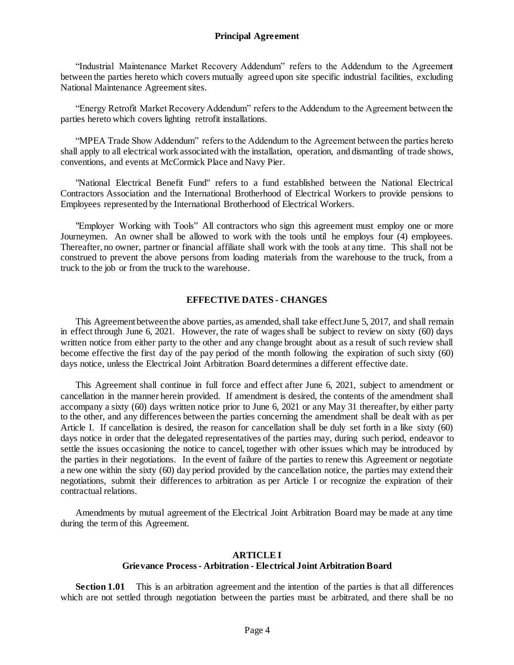"Industrial Maintenance Market Recovery Addendum" refers to the Addendum to the Agreement between the parties hereto which covers mutually agreed upon site specific industrial facilities, excluding National Maintenance Agreement sites.

"Energy Retrofit Market Recovery Addendum" refers to the Addendum to the Agreement between the parties hereto which covers lighting retrofit installations.

"MPEA Trade Show Addendum" refers to the Addendum to the Agreement between the parties hereto shall apply to all electrical work associated with the installation, operation, and dismantling of trade shows, conventions, and events at McCormick Place and Navy Pier.

"National Electrical Benefit Fund" refers to a fund established between the National Electrical Contractors Association and the International Brotherhood of Electrical Workers to provide pensions to Employees represented by the International Brotherhood of Electrical Workers.

"Employer Working with Tools" All contractors who sign this agreement must employ one or more Journeymen. An owner shall be allowed to work with the tools until he employs four (4) employees. Thereafter, no owner, partner or financial affiliate shall work with the tools at any time. This shall not be construed to prevent the above persons from loading materials from the warehouse to the truck, from a truck to the job or from the truck to the warehouse.

#### **EFFECTIVE DATES - CHANGES**

<span id="page-7-0"></span>This Agreement between the above parties, as amended, shall take effect June 5, 2017, and shall remain in effect through June 6, 2021. However, the rate of wages shall be subject to review on sixty (60) days written notice from either party to the other and any change brought about as a result of such review shall become effective the first day of the pay period of the month following the expiration of such sixty (60) days notice, unless the Electrical Joint Arbitration Board determines a different effective date.

This Agreement shall continue in full force and effect after June 6, 2021, subject to amendment or cancellation in the manner herein provided. If amendment is desired, the contents of the amendment shall accompany a sixty (60) days written notice prior to June 6, 2021 or any May 31 thereafter, by either party to the other, and any differences between the parties concerning the amendment shall be dealt with as per Article I. If cancellation is desired, the reason for cancellation shall be duly set forth in a like sixty (60) days notice in order that the delegated representatives of the parties may, during such period, endeavor to settle the issues occasioning the notice to cancel, together with other issues which may be introduced by the parties in their negotiations. In the event of failure of the parties to renew this Agreement or negotiate a new one within the sixty (60) day period provided by the cancellation notice, the parties may extend their negotiations, submit their differences to arbitration as per Article I or recognize the expiration of their contractual relations.

Amendments by mutual agreement of the Electrical Joint Arbitration Board may be made at any time during the term of this Agreement.

#### **ARTICLE I Grievance Process - Arbitration - Electrical Joint Arbitration Board**

<span id="page-7-2"></span><span id="page-7-1"></span>**Section 1.01** This is an arbitration agreement and the intention of the parties is that all differences which are not settled through negotiation between the parties must be arbitrated, and there shall be no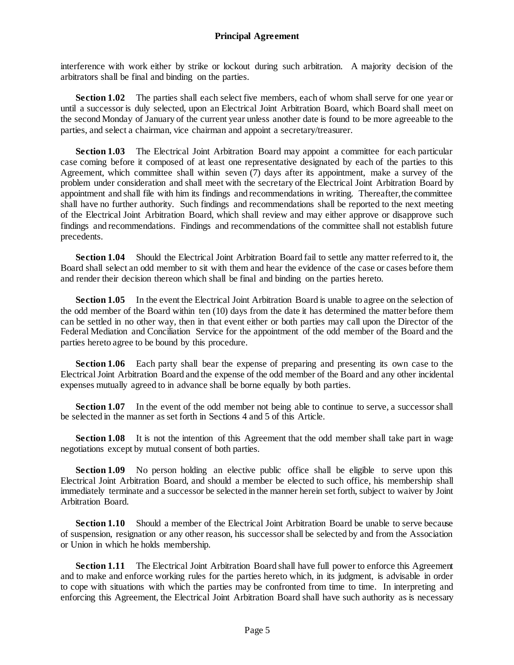interference with work either by strike or lockout during such arbitration. A majority decision of the arbitrators shall be final and binding on the parties.

**Section 1.02** The parties shall each select five members, each of whom shall serve for one year or until a successor is duly selected, upon an Electrical Joint Arbitration Board, which Board shall meet on the second Monday of January of the current year unless another date is found to be more agreeable to the parties, and select a chairman, vice chairman and appoint a secretary/treasurer.

**Section 1.03** The Electrical Joint Arbitration Board may appoint a committee for each particular case coming before it composed of at least one representative designated by each of the parties to this Agreement, which committee shall within seven (7) days after its appointment, make a survey of the problem under consideration and shall meet with the secretary of the Electrical Joint Arbitration Board by appointment and shall file with him its findings and recommendations in writing. Thereafter, the committee shall have no further authority. Such findings and recommendations shall be reported to the next meeting of the Electrical Joint Arbitration Board, which shall review and may either approve or disapprove such findings and recommendations. Findings and recommendations of the committee shall not establish future precedents.

**Section 1.04** Should the Electrical Joint Arbitration Board fail to settle any matter referred to it, the Board shall select an odd member to sit with them and hear the evidence of the case or cases before them and render their decision thereon which shall be final and binding on the parties hereto.

**Section 1.05** In the event the Electrical Joint Arbitration Board is unable to agree on the selection of the odd member of the Board within ten (10) days from the date it has determined the matter before them can be settled in no other way, then in that event either or both parties may call upon the Director of the Federal Mediation and Conciliation Service for the appointment of the odd member of the Board and the parties hereto agree to be bound by this procedure.

**Section 1.06** Each party shall bear the expense of preparing and presenting its own case to the Electrical Joint Arbitration Board and the expense of the odd member of the Board and any other incidental expenses mutually agreed to in advance shall be borne equally by both parties.

**Section 1.07** In the event of the odd member not being able to continue to serve, a successor shall be selected in the manner as set forth in Sections 4 and 5 of this Article.

**Section 1.08** It is not the intention of this Agreement that the odd member shall take part in wage negotiations except by mutual consent of both parties.

**Section 1.09** No person holding an elective public office shall be eligible to serve upon this Electrical Joint Arbitration Board, and should a member be elected to such office, his membership shall immediately terminate and a successor be selected in the manner herein set forth, subject to waiver by Joint Arbitration Board.

**Section 1.10** Should a member of the Electrical Joint Arbitration Board be unable to serve because of suspension, resignation or any other reason, his successor shall be selected by and from the Association or Union in which he holds membership.

**Section 1.11** The Electrical Joint Arbitration Board shall have full power to enforce this Agreement and to make and enforce working rules for the parties hereto which, in its judgment, is advisable in order to cope with situations with which the parties may be confronted from time to time. In interpreting and enforcing this Agreement, the Electrical Joint Arbitration Board shall have such authority as is necessary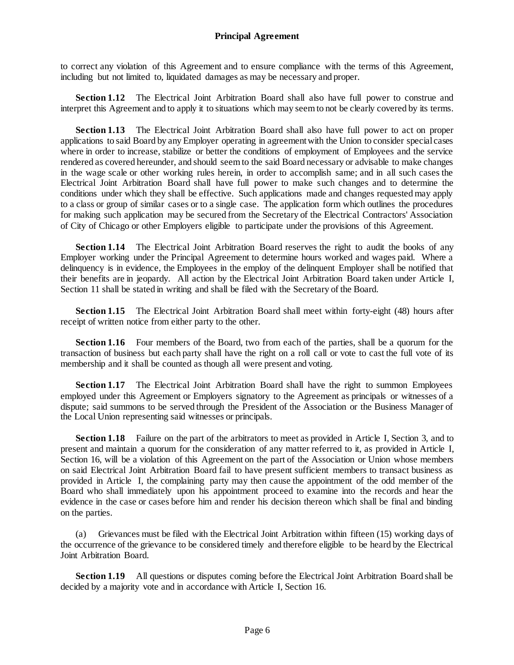to correct any violation of this Agreement and to ensure compliance with the terms of this Agreement, including but not limited to, liquidated damages as may be necessary and proper.

**Section 1.12** The Electrical Joint Arbitration Board shall also have full power to construe and interpret this Agreement and to apply it to situations which may seem to not be clearly covered by its terms.

**Section 1.13** The Electrical Joint Arbitration Board shall also have full power to act on proper applications to said Board by any Employer operating in agreement with the Union to consider special cases where in order to increase, stabilize or better the conditions of employment of Employees and the service rendered as covered hereunder, and should seem to the said Board necessary or advisable to make changes in the wage scale or other working rules herein, in order to accomplish same; and in all such cases the Electrical Joint Arbitration Board shall have full power to make such changes and to determine the conditions under which they shall be effective. Such applications made and changes requested may apply to a class or group of similar cases or to a single case. The application form which outlines the procedures for making such application may be secured from the Secretary of the Electrical Contractors' Association of City of Chicago or other Employers eligible to participate under the provisions of this Agreement.

**Section 1.14** The Electrical Joint Arbitration Board reserves the right to audit the books of any Employer working under the Principal Agreement to determine hours worked and wages paid. Where a delinquency is in evidence, the Employees in the employ of the delinquent Employer shall be notified that their benefits are in jeopardy. All action by the Electrical Joint Arbitration Board taken under Article I, Section 11 shall be stated in writing and shall be filed with the Secretary of the Board.

**Section 1.15** The Electrical Joint Arbitration Board shall meet within forty-eight (48) hours after receipt of written notice from either party to the other.

**Section 1.16** Four members of the Board, two from each of the parties, shall be a quorum for the transaction of business but each party shall have the right on a roll call or vote to cast the full vote of its membership and it shall be counted as though all were present and voting.

**Section 1.17** The Electrical Joint Arbitration Board shall have the right to summon Employees employed under this Agreement or Employers signatory to the Agreement as principals or witnesses of a dispute; said summons to be served through the President of the Association or the Business Manager of the Local Union representing said witnesses or principals.

**Section 1.18** Failure on the part of the arbitrators to meet as provided in Article I, Section 3, and to present and maintain a quorum for the consideration of any matter referred to it, as provided in Article I, Section 16, will be a violation of this Agreement on the part of the Association or Union whose members on said Electrical Joint Arbitration Board fail to have present sufficient members to transact business as provided in Article I, the complaining party may then cause the appointment of the odd member of the Board who shall immediately upon his appointment proceed to examine into the records and hear the evidence in the case or cases before him and render his decision thereon which shall be final and binding on the parties.

(a) Grievances must be filed with the Electrical Joint Arbitration within fifteen (15) working days of the occurrence of the grievance to be considered timely and therefore eligible to be heard by the Electrical Joint Arbitration Board.

**Section 1.19** All questions or disputes coming before the Electrical Joint Arbitration Board shall be decided by a majority vote and in accordance with Article I, Section 16.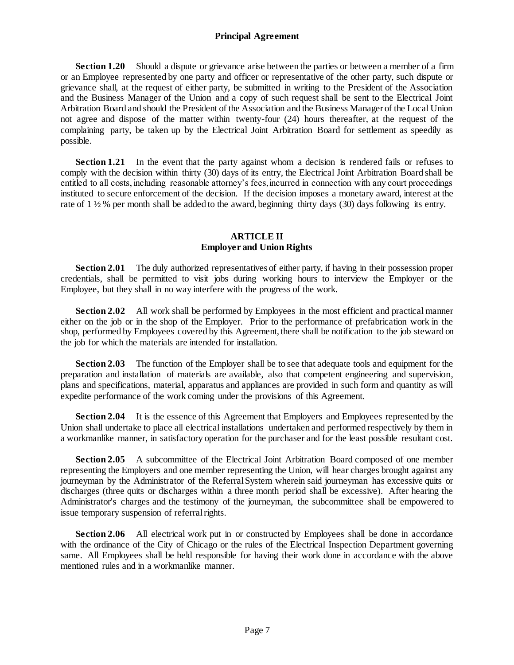**Section 1.20** Should a dispute or grievance arise between the parties or between a member of a firm or an Employee represented by one party and officer or representative of the other party, such dispute or grievance shall, at the request of either party, be submitted in writing to the President of the Association and the Business Manager of the Union and a copy of such request shall be sent to the Electrical Joint Arbitration Board and should the President of the Association and the Business Manager of the Local Union not agree and dispose of the matter within twenty-four (24) hours thereafter, at the request of the complaining party, be taken up by the Electrical Joint Arbitration Board for settlement as speedily as possible.

**Section 1.21** In the event that the party against whom a decision is rendered fails or refuses to comply with the decision within thirty (30) days of its entry, the Electrical Joint Arbitration Board shall be entitled to all costs, including reasonable attorney's fees, incurred in connection with any court proceedings instituted to secure enforcement of the decision. If the decision imposes a monetary award, interest at the rate of  $1\frac{1}{2}\%$  per month shall be added to the award, beginning thirty days (30) days following its entry.

## **ARTICLE II Employer and Union Rights**

<span id="page-10-1"></span><span id="page-10-0"></span>**Section 2.01** The duly authorized representatives of either party, if having in their possession proper credentials, shall be permitted to visit jobs during working hours to interview the Employer or the Employee, but they shall in no way interfere with the progress of the work.

**Section 2.02** All work shall be performed by Employees in the most efficient and practical manner either on the job or in the shop of the Employer. Prior to the performance of prefabrication work in the shop, performed by Employees covered by this Agreement, there shall be notification to the job steward on the job for which the materials are intended for installation.

**Section 2.03** The function of the Employer shall be to see that adequate tools and equipment for the preparation and installation of materials are available, also that competent engineering and supervision, plans and specifications, material, apparatus and appliances are provided in such form and quantity as will expedite performance of the work coming under the provisions of this Agreement.

**Section 2.04** It is the essence of this Agreement that Employers and Employees represented by the Union shall undertake to place all electrical installations undertaken and performed respectively by them in a workmanlike manner, in satisfactory operation for the purchaser and for the least possible resultant cost.

**Section 2.05** A subcommittee of the Electrical Joint Arbitration Board composed of one member representing the Employers and one member representing the Union, will hear charges brought against any journeyman by the Administrator of the Referral System wherein said journeyman has excessive quits or discharges (three quits or discharges within a three month period shall be excessive). After hearing the Administrator's charges and the testimony of the journeyman, the subcommittee shall be empowered to issue temporary suspension of referral rights.

**Section 2.06** All electrical work put in or constructed by Employees shall be done in accordance with the ordinance of the City of Chicago or the rules of the Electrical Inspection Department governing same. All Employees shall be held responsible for having their work done in accordance with the above mentioned rules and in a workmanlike manner.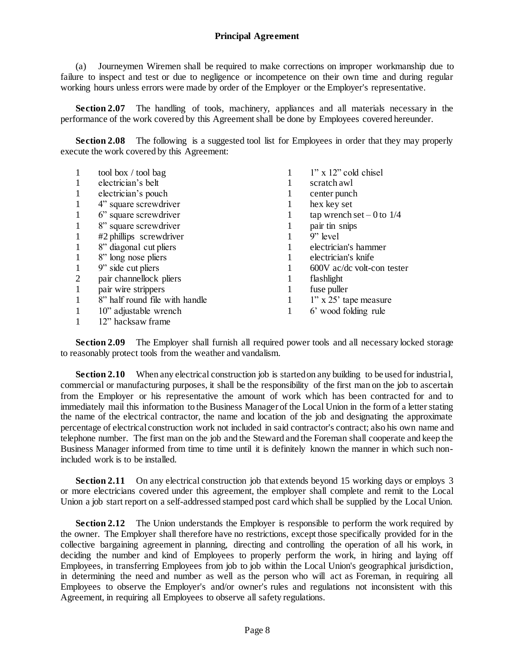(a) Journeymen Wiremen shall be required to make corrections on improper workmanship due to failure to inspect and test or due to negligence or incompetence on their own time and during regular working hours unless errors were made by order of the Employer or the Employer's representative.

**Section 2.07** The handling of tools, machinery, appliances and all materials necessary in the performance of the work covered by this Agreement shall be done by Employees covered hereunder.

**Section 2.08** The following is a suggested tool list for Employees in order that they may properly execute the work covered by this Agreement:

| 1              | tool box / tool bag            |   | $1"$ x $12"$ cold chisel     |
|----------------|--------------------------------|---|------------------------------|
|                |                                |   |                              |
| 1              | electrician's belt             |   | scratch awl                  |
| $\mathbf{1}$   | electrician's pouch            |   | center punch                 |
| 1              | 4" square screwdriver          |   | hex key set                  |
| 1              | 6" square screwdriver          |   | tap wrench set $-0$ to $1/4$ |
| $\mathbf{1}$   | 8" square screwdriver          | 1 | pair tin snips               |
| 1              | #2 phillips screwdriver        |   | $9"$ level                   |
| 1              | 8" diagonal cut pliers         |   | electrician's hammer         |
| 1              | 8" long nose pliers            |   | electrician's knife          |
| $\mathbf{1}$   | 9" side cut pliers             |   | 600V ac/dc volt-con tester   |
| $\overline{2}$ | pair channellock pliers        |   | flashlight                   |
| 1              | pair wire strippers            |   | fuse puller                  |
| 1              | 8" half round file with handle | 1 | $1"$ x 25' tape measure      |
| 1              | 10" adjustable wrench          | 1 | 6' wood folding rule         |
|                | 12" hacksaw frame              |   |                              |

**Section 2.09** The Employer shall furnish all required power tools and all necessary locked storage to reasonably protect tools from the weather and vandalism.

**Section 2.10** When any electrical construction job is started on any building to be used for industrial, commercial or manufacturing purposes, it shall be the responsibility of the first man on the job to ascertain from the Employer or his representative the amount of work which has been contracted for and to immediately mail this information to the Business Manager of the Local Union in the form of a letter stating the name of the electrical contractor, the name and location of the job and designating the approximate percentage of electrical construction work not included in said contractor's contract; also his own name and telephone number. The first man on the job and the Steward and the Foreman shall cooperate and keep the Business Manager informed from time to time until it is definitely known the manner in which such nonincluded work is to be installed.

**Section 2.11** On any electrical construction job that extends beyond 15 working days or employs 3 or more electricians covered under this agreement, the employer shall complete and remit to the Local Union a job start report on a self-addressed stamped post card which shall be supplied by the Local Union.

**Section 2.12** The Union understands the Employer is responsible to perform the work required by the owner. The Employer shall therefore have no restrictions, except those specifically provided for in the collective bargaining agreement in planning, directing and controlling the operation of all his work, in deciding the number and kind of Employees to properly perform the work, in hiring and laying off Employees, in transferring Employees from job to job within the Local Union's geographical jurisdiction, in determining the need and number as well as the person who will act as Foreman, in requiring all Employees to observe the Employer's and/or owner's rules and regulations not inconsistent with this Agreement, in requiring all Employees to observe all safety regulations.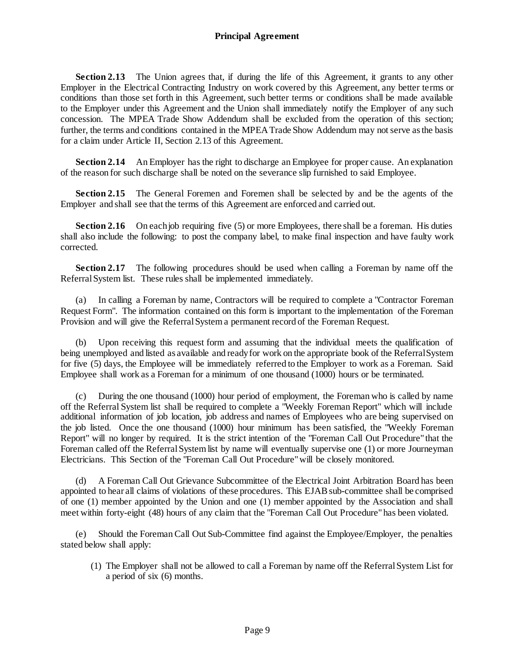**Section 2.13** The Union agrees that, if during the life of this Agreement, it grants to any other Employer in the Electrical Contracting Industry on work covered by this Agreement, any better terms or conditions than those set forth in this Agreement, such better terms or conditions shall be made available to the Employer under this Agreement and the Union shall immediately notify the Employer of any such concession. The MPEA Trade Show Addendum shall be excluded from the operation of this section; further, the terms and conditions contained in the MPEA Trade Show Addendum may not serve as the basis for a claim under Article II, Section 2.13 of this Agreement.

**Section 2.14** An Employer has the right to discharge an Employee for proper cause. An explanation of the reason for such discharge shall be noted on the severance slip furnished to said Employee.

**Section 2.15** The General Foremen and Foremen shall be selected by and be the agents of the Employer and shall see that the terms of this Agreement are enforced and carried out.

**Section 2.16** On each job requiring five (5) or more Employees, there shall be a foreman. His duties shall also include the following: to post the company label, to make final inspection and have faulty work corrected.

**Section 2.17** The following procedures should be used when calling a Foreman by name off the Referral System list. These rules shall be implemented immediately.

(a) In calling a Foreman by name, Contractors will be required to complete a "Contractor Foreman Request Form". The information contained on this form is important to the implementation of the Foreman Provision and will give the Referral System a permanent record of the Foreman Request.

(b) Upon receiving this request form and assuming that the individual meets the qualification of being unemployed and listed as available and ready for work on the appropriate book of the Referral System for five (5) days, the Employee will be immediately referred to the Employer to work as a Foreman. Said Employee shall work as a Foreman for a minimum of one thousand (1000) hours or be terminated.

(c) During the one thousand (1000) hour period of employment, the Foreman who is called by name off the Referral System list shall be required to complete a "Weekly Foreman Report" which will include additional information of job location, job address and names of Employees who are being supervised on the job listed. Once the one thousand (1000) hour minimum has been satisfied, the "Weekly Foreman Report" will no longer by required. It is the strict intention of the "Foreman Call Out Procedure" that the Foreman called off the Referral System list by name will eventually supervise one (1) or more Journeyman Electricians. This Section of the "Foreman Call Out Procedure" will be closely monitored.

(d) A Foreman Call Out Grievance Subcommittee of the Electrical Joint Arbitration Board has been appointed to hear all claims of violations of these procedures. This EJAB sub-committee shall be comprised of one (1) member appointed by the Union and one (1) member appointed by the Association and shall meet within forty-eight (48) hours of any claim that the "Foreman Call Out Procedure" has been violated.

(e) Should the Foreman Call Out Sub-Committee find against the Employee/Employer, the penalties stated below shall apply:

(1) The Employer shall not be allowed to call a Foreman by name off the Referral System List for a period of six (6) months.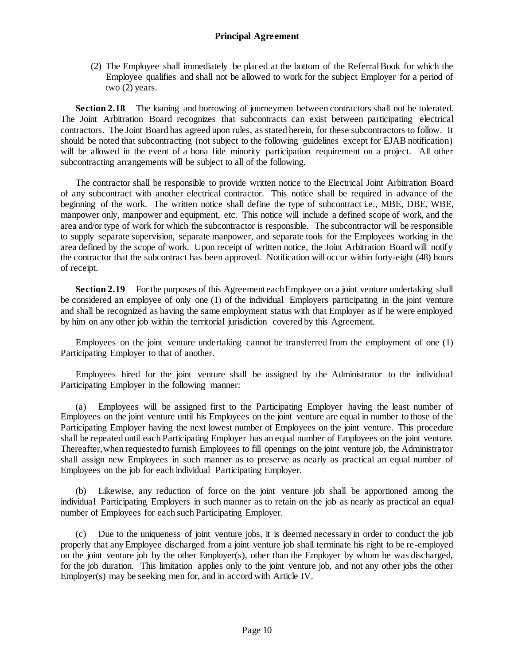(2) The Employee shall immediately be placed at the bottom of the Referral Book for which the Employee qualifies and shall not be allowed to work for the subject Employer for a period of two (2) years.

**Section 2.18** The loaning and borrowing of journeymen between contractors shall not be tolerated. The Joint Arbitration Board recognizes that subcontracts can exist between participating electrical contractors. The Joint Board has agreed upon rules, as stated herein, for these subcontractors to follow. It should be noted that subcontracting (not subject to the following guidelines except for EJAB notification) will be allowed in the event of a bona fide minority participation requirement on a project. All other subcontracting arrangements will be subject to all of the following.

The contractor shall be responsible to provide written notice to the Electrical Joint Arbitration Board of any subcontract with another electrical contractor. This notice shall be required in advance of the beginning of the work. The written notice shall define the type of subcontract i.e., MBE, DBE, WBE, manpower only, manpower and equipment, etc. This notice will include a defined scope of work, and the area and/or type of work for which the subcontractor is responsible. The subcontractor will be responsible to supply separate supervision, separate manpower, and separate tools for the Employees working in the area defined by the scope of work. Upon receipt of written notice, the Joint Arbitration Board will notify the contractor that the subcontract has been approved. Notification will occur within forty-eight (48) hours of receipt.

**Section 2.19** For the purposes of this Agreement each Employee on a joint venture undertaking shall be considered an employee of only one (1) of the individual Employers participating in the joint venture and shall be recognized as having the same employment status with that Employer as if he were employed by him on any other job within the territorial jurisdiction covered by this Agreement.

Employees on the joint venture undertaking cannot be transferred from the employment of one (1) Participating Employer to that of another.

Employees hired for the joint venture shall be assigned by the Administrator to the individual Participating Employer in the following manner:

(a) Employees will be assigned first to the Participating Employer having the least number of Employees on the joint venture until his Employees on the joint venture are equal in number to those of the Participating Employer having the next lowest number of Employees on the joint venture. This procedure shall be repeated until each Participating Employer has an equal number of Employees on the joint venture. Thereafter, when requested to furnish Employees to fill openings on the joint venture job, the Administrator shall assign new Employees in such manner as to preserve as nearly as practical an equal number of Employees on the job for each individual Participating Employer.

(b) Likewise, any reduction of force on the joint venture job shall be apportioned among the individual Participating Employers in such manner as to retain on the job as nearly as practical an equal number of Employees for each such Participating Employer.

(c) Due to the uniqueness of joint venture jobs, it is deemed necessary in order to conduct the job properly that any Employee discharged from a joint venture job shall terminate his right to be re-employed on the joint venture job by the other Employer(s), other than the Employer by whom he was discharged, for the job duration. This limitation applies only to the joint venture job, and not any other jobs the other Employer(s) may be seeking men for, and in accord with Article IV.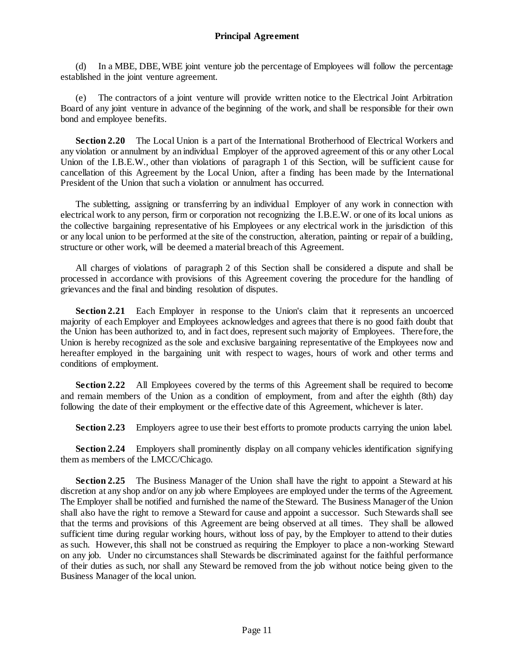(d) In a MBE, DBE, WBE joint venture job the percentage of Employees will follow the percentage established in the joint venture agreement.

(e) The contractors of a joint venture will provide written notice to the Electrical Joint Arbitration Board of any joint venture in advance of the beginning of the work, and shall be responsible for their own bond and employee benefits.

**Section 2.20** The Local Union is a part of the International Brotherhood of Electrical Workers and any violation or annulment by an individual Employer of the approved agreement of this or any other Local Union of the I.B.E.W., other than violations of paragraph 1 of this Section, will be sufficient cause for cancellation of this Agreement by the Local Union, after a finding has been made by the International President of the Union that such a violation or annulment has occurred.

The subletting, assigning or transferring by an individual Employer of any work in connection with electrical work to any person, firm or corporation not recognizing the I.B.E.W. or one of its local unions as the collective bargaining representative of his Employees or any electrical work in the jurisdiction of this or any local union to be performed at the site of the construction, alteration, painting or repair of a building, structure or other work, will be deemed a material breach of this Agreement.

All charges of violations of paragraph 2 of this Section shall be considered a dispute and shall be processed in accordance with provisions of this Agreement covering the procedure for the handling of grievances and the final and binding resolution of disputes.

**Section 2.21** Each Employer in response to the Union's claim that it represents an uncoerced majority of each Employer and Employees acknowledges and agrees that there is no good faith doubt that the Union has been authorized to, and in fact does, represent such majority of Employees. Therefore, the Union is hereby recognized as the sole and exclusive bargaining representative of the Employees now and hereafter employed in the bargaining unit with respect to wages, hours of work and other terms and conditions of employment.

**Section 2.22** All Employees covered by the terms of this Agreement shall be required to become and remain members of the Union as a condition of employment, from and after the eighth (8th) day following the date of their employment or the effective date of this Agreement, whichever is later.

**Section 2.23** Employers agree to use their best efforts to promote products carrying the union label.

**Section 2.24** Employers shall prominently display on all company vehicles identification signifying them as members of the LMCC/Chicago.

**Section 2.25** The Business Manager of the Union shall have the right to appoint a Steward at his discretion at any shop and/or on any job where Employees are employed under the terms of the Agreement. The Employer shall be notified and furnished the name of the Steward. The Business Manager of the Union shall also have the right to remove a Steward for cause and appoint a successor. Such Stewards shall see that the terms and provisions of this Agreement are being observed at all times. They shall be allowed sufficient time during regular working hours, without loss of pay, by the Employer to attend to their duties as such. However, this shall not be construed as requiring the Employer to place a non-working Steward on any job. Under no circumstances shall Stewards be discriminated against for the faithful performance of their duties as such, nor shall any Steward be removed from the job without notice being given to the Business Manager of the local union.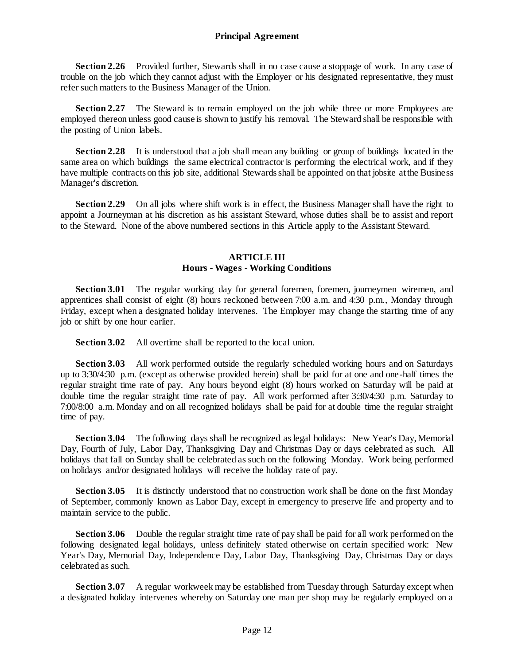**Section 2.26** Provided further, Stewards shall in no case cause a stoppage of work. In any case of trouble on the job which they cannot adjust with the Employer or his designated representative, they must refer such matters to the Business Manager of the Union.

**Section 2.27** The Steward is to remain employed on the job while three or more Employees are employed thereon unless good cause is shown to justify his removal. The Steward shall be responsible with the posting of Union labels.

**Section 2.28** It is understood that a job shall mean any building or group of buildings located in the same area on which buildings the same electrical contractor is performing the electrical work, and if they have multiple contracts on this job site, additional Stewards shall be appointed on that jobsite at the Business Manager's discretion.

**Section 2.29** On all jobs where shift work is in effect, the Business Manager shall have the right to appoint a Journeyman at his discretion as his assistant Steward, whose duties shall be to assist and report to the Steward. None of the above numbered sections in this Article apply to the Assistant Steward.

## **ARTICLE III Hours - Wages - Working Conditions**

<span id="page-15-1"></span><span id="page-15-0"></span>**Section 3.01** The regular working day for general foremen, foremen, journeymen wiremen, and apprentices shall consist of eight (8) hours reckoned between 7:00 a.m. and 4:30 p.m., Monday through Friday, except when a designated holiday intervenes. The Employer may change the starting time of any job or shift by one hour earlier.

**Section 3.02** All overtime shall be reported to the local union.

**Section 3.03** All work performed outside the regularly scheduled working hours and on Saturdays up to 3:30/4:30 p.m. (except as otherwise provided herein) shall be paid for at one and one-half times the regular straight time rate of pay. Any hours beyond eight (8) hours worked on Saturday will be paid at double time the regular straight time rate of pay. All work performed after 3:30/4:30 p.m. Saturday to 7:00/8:00 a.m. Monday and on all recognized holidays shall be paid for at double time the regular straight time of pay.

**Section 3.04** The following days shall be recognized as legal holidays: New Year's Day, Memorial Day, Fourth of July, Labor Day, Thanksgiving Day and Christmas Day or days celebrated as such. All holidays that fall on Sunday shall be celebrated as such on the following Monday. Work being performed on holidays and/or designated holidays will receive the holiday rate of pay.

**Section 3.05** It is distinctly understood that no construction work shall be done on the first Monday of September, commonly known as Labor Day, except in emergency to preserve life and property and to maintain service to the public.

**Section 3.06** Double the regular straight time rate of pay shall be paid for all work performed on the following designated legal holidays, unless definitely stated otherwise on certain specified work: New Year's Day, Memorial Day, Independence Day, Labor Day, Thanksgiving Day, Christmas Day or days celebrated as such.

**Section 3.07** A regular workweek may be established from Tuesday through Saturday except when a designated holiday intervenes whereby on Saturday one man per shop may be regularly employed on a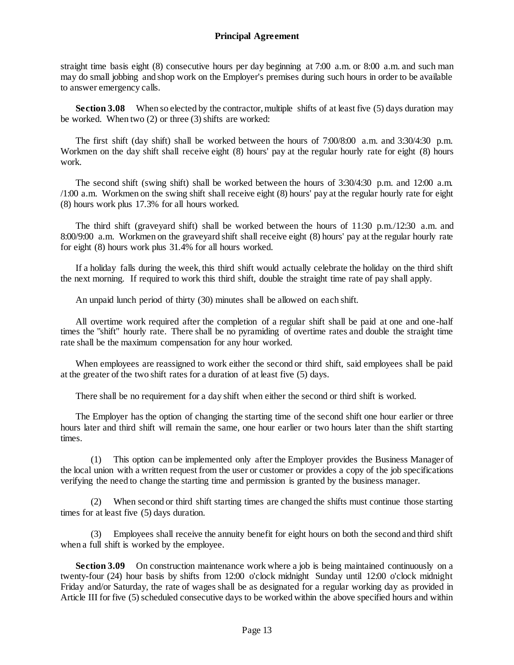straight time basis eight (8) consecutive hours per day beginning at 7:00 a.m. or 8:00 a.m. and such man may do small jobbing and shop work on the Employer's premises during such hours in order to be available to answer emergency calls.

**Section 3.08** When so elected by the contractor, multiple shifts of at least five (5) days duration may be worked. When two (2) or three (3) shifts are worked:

The first shift (day shift) shall be worked between the hours of 7:00/8:00 a.m. and 3:30/4:30 p.m. Workmen on the day shift shall receive eight (8) hours' pay at the regular hourly rate for eight (8) hours work.

The second shift (swing shift) shall be worked between the hours of 3:30/4:30 p.m. and 12:00 a.m. /1:00 a.m. Workmen on the swing shift shall receive eight (8) hours' pay at the regular hourly rate for eight (8) hours work plus 17.3% for all hours worked.

The third shift (graveyard shift) shall be worked between the hours of 11:30 p.m./12:30 a.m. and 8:00/9:00 a.m. Workmen on the graveyard shift shall receive eight (8) hours' pay at the regular hourly rate for eight (8) hours work plus 31.4% for all hours worked.

If a holiday falls during the week, this third shift would actually celebrate the holiday on the third shift the next morning. If required to work this third shift, double the straight time rate of pay shall apply.

An unpaid lunch period of thirty (30) minutes shall be allowed on each shift.

All overtime work required after the completion of a regular shift shall be paid at one and one-half times the "shift" hourly rate. There shall be no pyramiding of overtime rates and double the straight time rate shall be the maximum compensation for any hour worked.

When employees are reassigned to work either the second or third shift, said employees shall be paid at the greater of the two shift rates for a duration of at least five (5) days.

There shall be no requirement for a day shift when either the second or third shift is worked.

The Employer has the option of changing the starting time of the second shift one hour earlier or three hours later and third shift will remain the same, one hour earlier or two hours later than the shift starting times.

(1) This option can be implemented only after the Employer provides the Business Manager of the local union with a written request from the user or customer or provides a copy of the job specifications verifying the need to change the starting time and permission is granted by the business manager.

(2) When second or third shift starting times are changed the shifts must continue those starting times for at least five (5) days duration.

(3) Employees shall receive the annuity benefit for eight hours on both the second and third shift when a full shift is worked by the employee.

**Section 3.09** On construction maintenance work where a job is being maintained continuously on a twenty-four (24) hour basis by shifts from 12:00 o'clock midnight Sunday until 12:00 o'clock midnight Friday and/or Saturday, the rate of wages shall be as designated for a regular working day as provided in Article III for five (5) scheduled consecutive days to be worked within the above specified hours and within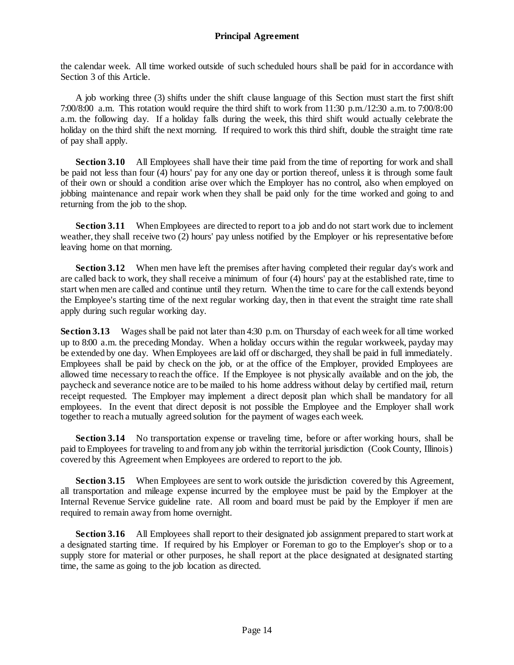the calendar week. All time worked outside of such scheduled hours shall be paid for in accordance with Section 3 of this Article.

A job working three (3) shifts under the shift clause language of this Section must start the first shift 7:00/8:00 a.m. This rotation would require the third shift to work from 11:30 p.m./12:30 a.m. to 7:00/8:00 a.m. the following day. If a holiday falls during the week, this third shift would actually celebrate the holiday on the third shift the next morning. If required to work this third shift, double the straight time rate of pay shall apply.

**Section 3.10** All Employees shall have their time paid from the time of reporting for work and shall be paid not less than four (4) hours' pay for any one day or portion thereof, unless it is through some fault of their own or should a condition arise over which the Employer has no control, also when employed on jobbing maintenance and repair work when they shall be paid only for the time worked and going to and returning from the job to the shop.

**Section 3.11** When Employees are directed to report to a job and do not start work due to inclement weather, they shall receive two (2) hours' pay unless notified by the Employer or his representative before leaving home on that morning.

**Section 3.12** When men have left the premises after having completed their regular day's work and are called back to work, they shall receive a minimum of four (4) hours' pay at the established rate, time to start when men are called and continue until they return. When the time to care for the call extends beyond the Employee's starting time of the next regular working day, then in that event the straight time rate shall apply during such regular working day.

**Section 3.13** Wages shall be paid not later than 4:30 p.m. on Thursday of each week for all time worked up to 8:00 a.m. the preceding Monday. When a holiday occurs within the regular workweek, payday may be extended by one day. When Employees are laid off or discharged, they shall be paid in full immediately. Employees shall be paid by check on the job, or at the office of the Employer, provided Employees are allowed time necessary to reach the office. If the Employee is not physically available and on the job, the paycheck and severance notice are to be mailed to his home address without delay by certified mail, return receipt requested. The Employer may implement a direct deposit plan which shall be mandatory for all employees. In the event that direct deposit is not possible the Employee and the Employer shall work together to reach a mutually agreed solution for the payment of wages each week.

**Section 3.14** No transportation expense or traveling time, before or after working hours, shall be paid to Employees for traveling to and from any job within the territorial jurisdiction (Cook County, Illinois) covered by this Agreement when Employees are ordered to report to the job.

**Section 3.15** When Employees are sent to work outside the jurisdiction covered by this Agreement, all transportation and mileage expense incurred by the employee must be paid by the Employer at the Internal Revenue Service guideline rate. All room and board must be paid by the Employer if men are required to remain away from home overnight.

**Section 3.16** All Employees shall report to their designated job assignment prepared to start work at a designated starting time. If required by his Employer or Foreman to go to the Employer's shop or to a supply store for material or other purposes, he shall report at the place designated at designated starting time, the same as going to the job location as directed.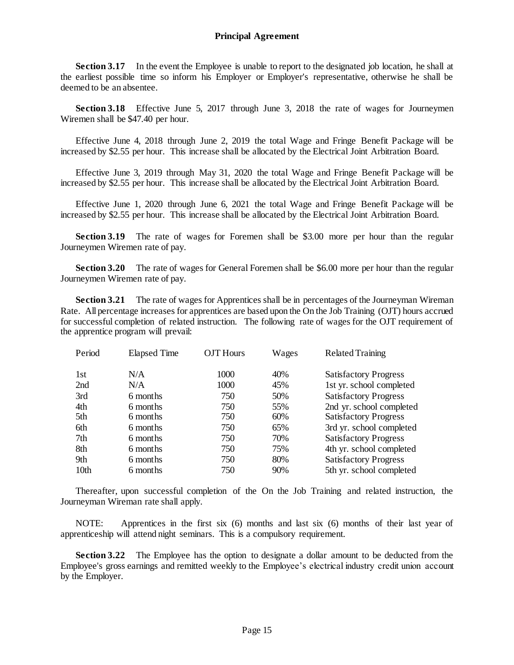**Section 3.17** In the event the Employee is unable to report to the designated job location, he shall at the earliest possible time so inform his Employer or Employer's representative, otherwise he shall be deemed to be an absentee.

**Section 3.18** Effective June 5, 2017 through June 3, 2018 the rate of wages for Journeymen Wiremen shall be \$47.40 per hour.

Effective June 4, 2018 through June 2, 2019 the total Wage and Fringe Benefit Package will be increased by \$2.55 per hour. This increase shall be allocated by the Electrical Joint Arbitration Board.

Effective June 3, 2019 through May 31, 2020 the total Wage and Fringe Benefit Package will be increased by \$2.55 per hour. This increase shall be allocated by the Electrical Joint Arbitration Board.

Effective June 1, 2020 through June 6, 2021 the total Wage and Fringe Benefit Package will be increased by \$2.55 per hour. This increase shall be allocated by the Electrical Joint Arbitration Board.

**Section 3.19** The rate of wages for Foremen shall be \$3.00 more per hour than the regular Journeymen Wiremen rate of pay.

**Section 3.20** The rate of wages for General Foremen shall be \$6.00 more per hour than the regular Journeymen Wiremen rate of pay.

**Section 3.21** The rate of wages for Apprentices shall be in percentages of the Journeyman Wireman Rate. All percentage increases for apprentices are based upon the On the Job Training (OJT) hours accrued for successful completion of related instruction. The following rate of wages for the OJT requirement of the apprentice program will prevail:

| Period           | <b>Elapsed Time</b> | <b>OJT</b> Hours | Wages | <b>Related Training</b>      |
|------------------|---------------------|------------------|-------|------------------------------|
| 1st              | N/A                 | 1000             | 40%   | <b>Satisfactory Progress</b> |
| 2nd              | N/A                 | 1000             | 45%   | 1st yr. school completed     |
| 3rd              | 6 months            | 750              | 50%   | <b>Satisfactory Progress</b> |
| 4th              | 6 months            | 750              | 55%   | 2nd yr. school completed     |
| 5th              | 6 months            | 750              | 60%   | <b>Satisfactory Progress</b> |
| 6th              | 6 months            | 750              | 65%   | 3rd yr. school completed     |
| 7th              | 6 months            | 750              | 70%   | <b>Satisfactory Progress</b> |
| 8th              | 6 months            | 750              | 75%   | 4th yr. school completed     |
| 9th              | 6 months            | 750              | 80%   | <b>Satisfactory Progress</b> |
| 10 <sub>th</sub> | 6 months            | 750              | 90%   | 5th yr. school completed     |

Thereafter, upon successful completion of the On the Job Training and related instruction, the Journeyman Wireman rate shall apply.

NOTE: Apprentices in the first six (6) months and last six (6) months of their last year of apprenticeship will attend night seminars. This is a compulsory requirement.

**Section 3.22** The Employee has the option to designate a dollar amount to be deducted from the Employee's gross earnings and remitted weekly to the Employee's electrical industry credit union account by the Employer.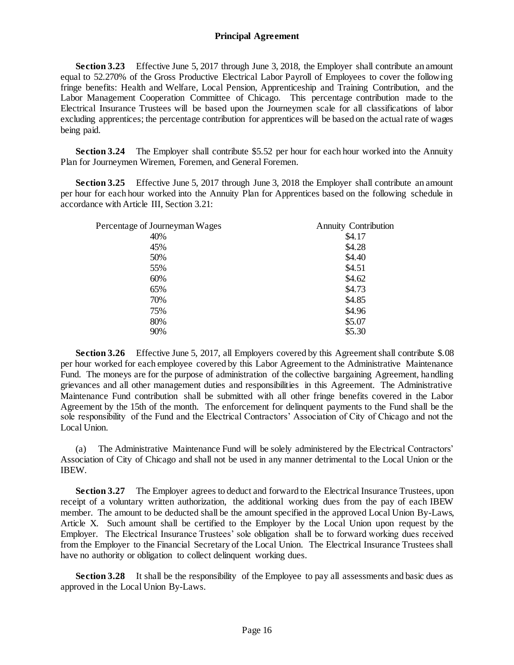**Section 3.23** Effective June 5, 2017 through June 3, 2018, the Employer shall contribute an amount equal to 52.270% of the Gross Productive Electrical Labor Payroll of Employees to cover the following fringe benefits: Health and Welfare, Local Pension, Apprenticeship and Training Contribution, and the Labor Management Cooperation Committee of Chicago. This percentage contribution made to the Electrical Insurance Trustees will be based upon the Journeymen scale for all classifications of labor excluding apprentices; the percentage contribution for apprentices will be based on the actual rate of wages being paid.

**Section 3.24** The Employer shall contribute \$5.52 per hour for each hour worked into the Annuity Plan for Journeymen Wiremen, Foremen, and General Foremen.

**Section 3.25** Effective June 5, 2017 through June 3, 2018 the Employer shall contribute an amount per hour for each hour worked into the Annuity Plan for Apprentices based on the following schedule in accordance with Article III, Section 3.21:

| Percentage of Journeyman Wages | <b>Annuity Contribution</b> |  |
|--------------------------------|-----------------------------|--|
| 40%                            | \$4.17                      |  |
| 45%                            | \$4.28                      |  |
| 50%                            | \$4.40                      |  |
| 55%                            | \$4.51                      |  |
| 60%                            | \$4.62                      |  |
| 65%                            | \$4.73                      |  |
| 70%                            | \$4.85                      |  |
| 75%                            | \$4.96                      |  |
| 80%                            | \$5.07                      |  |
| 90%                            | \$5.30                      |  |
|                                |                             |  |

**Section 3.26** Effective June 5, 2017, all Employers covered by this Agreement shall contribute \$.08 per hour worked for each employee covered by this Labor Agreement to the Administrative Maintenance Fund. The moneys are for the purpose of administration of the collective bargaining Agreement, handling grievances and all other management duties and responsibilities in this Agreement. The Administrative Maintenance Fund contribution shall be submitted with all other fringe benefits covered in the Labor Agreement by the 15th of the month. The enforcement for delinquent payments to the Fund shall be the sole responsibility of the Fund and the Electrical Contractors' Association of City of Chicago and not the Local Union.

(a) The Administrative Maintenance Fund will be solely administered by the Electrical Contractors' Association of City of Chicago and shall not be used in any manner detrimental to the Local Union or the IBEW.

**Section 3.27** The Employer agrees to deduct and forward to the Electrical Insurance Trustees, upon receipt of a voluntary written authorization, the additional working dues from the pay of each IBEW member. The amount to be deducted shall be the amount specified in the approved Local Union By-Laws, Article X. Such amount shall be certified to the Employer by the Local Union upon request by the Employer. The Electrical Insurance Trustees' sole obligation shall be to forward working dues received from the Employer to the Financial Secretary of the Local Union. The Electrical Insurance Trustees shall have no authority or obligation to collect delinquent working dues.

**Section 3.28** It shall be the responsibility of the Employee to pay all assessments and basic dues as approved in the Local Union By-Laws.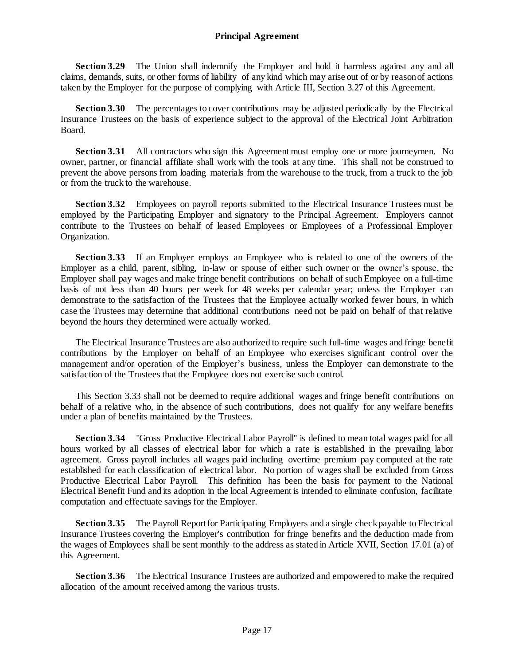**Section 3.29** The Union shall indemnify the Employer and hold it harmless against any and all claims, demands, suits, or other forms of liability of any kind which may arise out of or by reason of actions taken by the Employer for the purpose of complying with Article III, Section 3.27 of this Agreement.

**Section 3.30** The percentages to cover contributions may be adjusted periodically by the Electrical Insurance Trustees on the basis of experience subject to the approval of the Electrical Joint Arbitration Board.

**Section 3.31** All contractors who sign this Agreement must employ one or more journeymen. No owner, partner, or financial affiliate shall work with the tools at any time. This shall not be construed to prevent the above persons from loading materials from the warehouse to the truck, from a truck to the job or from the truck to the warehouse.

**Section 3.32** Employees on payroll reports submitted to the Electrical Insurance Trustees must be employed by the Participating Employer and signatory to the Principal Agreement. Employers cannot contribute to the Trustees on behalf of leased Employees or Employees of a Professional Employer Organization.

**Section 3.33** If an Employer employs an Employee who is related to one of the owners of the Employer as a child, parent, sibling, in-law or spouse of either such owner or the owner's spouse, the Employer shall pay wages and make fringe benefit contributions on behalf of such Employee on a full-time basis of not less than 40 hours per week for 48 weeks per calendar year; unless the Employer can demonstrate to the satisfaction of the Trustees that the Employee actually worked fewer hours, in which case the Trustees may determine that additional contributions need not be paid on behalf of that relative beyond the hours they determined were actually worked.

The Electrical Insurance Trustees are also authorized to require such full-time wages and fringe benefit contributions by the Employer on behalf of an Employee who exercises significant control over the management and/or operation of the Employer's business, unless the Employer can demonstrate to the satisfaction of the Trustees that the Employee does not exercise such control.

This Section 3.33 shall not be deemed to require additional wages and fringe benefit contributions on behalf of a relative who, in the absence of such contributions, does not qualify for any welfare benefits under a plan of benefits maintained by the Trustees.

**Section 3.34** "Gross Productive Electrical Labor Payroll" is defined to mean total wages paid for all hours worked by all classes of electrical labor for which a rate is established in the prevailing labor agreement. Gross payroll includes all wages paid including overtime premium pay computed at the rate established for each classification of electrical labor. No portion of wages shall be excluded from Gross Productive Electrical Labor Payroll. This definition has been the basis for payment to the National Electrical Benefit Fund and its adoption in the local Agreement is intended to eliminate confusion, facilitate computation and effectuate savings for the Employer.

**Section 3.35** The Payroll Report for Participating Employers and a single check payable to Electrical Insurance Trustees covering the Employer's contribution for fringe benefits and the deduction made from the wages of Employees shall be sent monthly to the address as stated in Article XVII, Section 17.01 (a) of this Agreement.

**Section 3.36** The Electrical Insurance Trustees are authorized and empowered to make the required allocation of the amount received among the various trusts.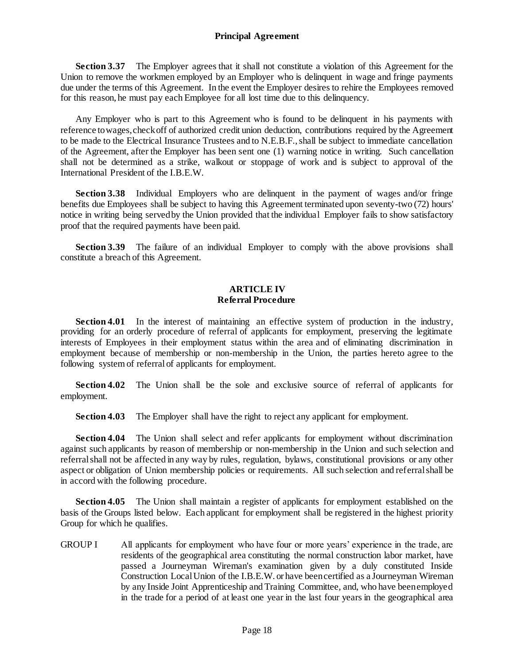**Section 3.37** The Employer agrees that it shall not constitute a violation of this Agreement for the Union to remove the workmen employed by an Employer who is delinquent in wage and fringe payments due under the terms of this Agreement. In the event the Employer desires to rehire the Employees removed for this reason, he must pay each Employee for all lost time due to this delinquency.

Any Employer who is part to this Agreement who is found to be delinquent in his payments with reference to wages, check off of authorized credit union deduction, contributions required by the Agreement to be made to the Electrical Insurance Trustees and to N.E.B.F., shall be subject to immediate cancellation of the Agreement, after the Employer has been sent one (1) warning notice in writing. Such cancellation shall not be determined as a strike, walkout or stoppage of work and is subject to approval of the International President of the I.B.E.W.

**Section 3.38** Individual Employers who are delinquent in the payment of wages and/or fringe benefits due Employees shall be subject to having this Agreement terminated upon seventy-two (72) hours' notice in writing being served by the Union provided that the individual Employer fails to show satisfactory proof that the required payments have been paid.

**Section 3.39** The failure of an individual Employer to comply with the above provisions shall constitute a breach of this Agreement.

#### **ARTICLE IV Referral Procedure**

<span id="page-21-1"></span><span id="page-21-0"></span>**Section 4.01** In the interest of maintaining an effective system of production in the industry, providing for an orderly procedure of referral of applicants for employment, preserving the legitimate interests of Employees in their employment status within the area and of eliminating discrimination in employment because of membership or non-membership in the Union, the parties hereto agree to the following system of referral of applicants for employment.

**Section 4.02** The Union shall be the sole and exclusive source of referral of applicants for employment.

**Section 4.03** The Employer shall have the right to reject any applicant for employment.

**Section 4.04** The Union shall select and refer applicants for employment without discrimination against such applicants by reason of membership or non-membership in the Union and such selection and referral shall not be affected in any way by rules, regulation, bylaws, constitutional provisions or any other aspect or obligation of Union membership policies or requirements. All such selection and referral shall be in accord with the following procedure.

**Section 4.05** The Union shall maintain a register of applicants for employment established on the basis of the Groups listed below. Each applicant for employment shall be registered in the highest priority Group for which he qualifies.

GROUP I All applicants for employment who have four or more years' experience in the trade, are residents of the geographical area constituting the normal construction labor market, have passed a Journeyman Wireman's examination given by a duly constituted Inside Construction Local Union of the I.B.E.W. or have been certified as a Journeyman Wireman by any Inside Joint Apprenticeship and Training Committee, and, who have been employed in the trade for a period of at least one year in the last four years in the geographical area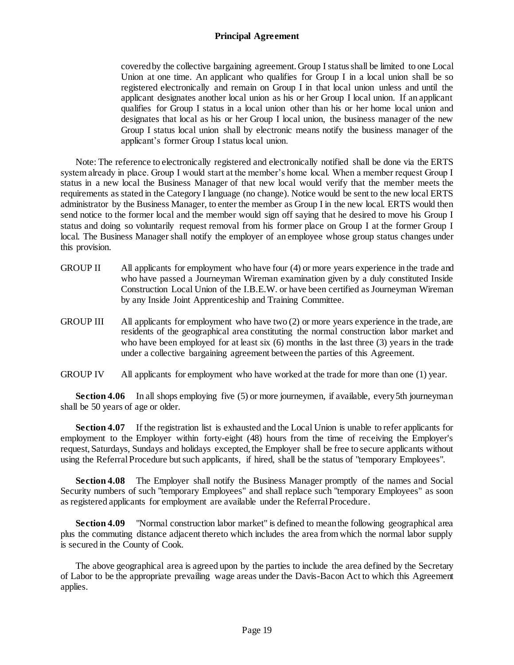covered by the collective bargaining agreement. Group I status shall be limited to one Local Union at one time. An applicant who qualifies for Group I in a local union shall be so registered electronically and remain on Group I in that local union unless and until the applicant designates another local union as his or her Group I local union. If an applicant qualifies for Group I status in a local union other than his or her home local union and designates that local as his or her Group I local union, the business manager of the new Group I status local union shall by electronic means notify the business manager of the applicant's former Group I status local union.

Note: The reference to electronically registered and electronically notified shall be done via the ERTS system already in place. Group I would start at the member's home local. When a member request Group I status in a new local the Business Manager of that new local would verify that the member meets the requirements as stated in the Category I language (no change). Notice would be sent to the new local ERTS administrator by the Business Manager, to enter the member as Group I in the new local. ERTS would then send notice to the former local and the member would sign off saying that he desired to move his Group I status and doing so voluntarily request removal from his former place on Group I at the former Group I local. The Business Manager shall notify the employer of an employee whose group status changes under this provision.

- GROUP II All applicants for employment who have four (4) or more years experience in the trade and who have passed a Journeyman Wireman examination given by a duly constituted Inside Construction Local Union of the I.B.E.W. or have been certified as Journeyman Wireman by any Inside Joint Apprenticeship and Training Committee.
- GROUP III All applicants for employment who have two (2) or more years experience in the trade, are residents of the geographical area constituting the normal construction labor market and who have been employed for at least six  $(6)$  months in the last three  $(3)$  years in the trade under a collective bargaining agreement between the parties of this Agreement.
- GROUP IV All applicants for employment who have worked at the trade for more than one (1) year.

**Section 4.06** In all shops employing five (5) or more journeymen, if available, every 5th journeyman shall be 50 years of age or older.

**Section 4.07** If the registration list is exhausted and the Local Union is unable to refer applicants for employment to the Employer within forty-eight (48) hours from the time of receiving the Employer's request, Saturdays, Sundays and holidays excepted, the Employer shall be free to secure applicants without using the Referral Procedure but such applicants, if hired, shall be the status of "temporary Employees".

**Section 4.08** The Employer shall notify the Business Manager promptly of the names and Social Security numbers of such "temporary Employees" and shall replace such "temporary Employees" as soon as registered applicants for employment are available under the Referral Procedure.

**Section 4.09** "Normal construction labor market" is defined to mean the following geographical area plus the commuting distance adjacent thereto which includes the area from which the normal labor supply is secured in the County of Cook.

The above geographical area is agreed upon by the parties to include the area defined by the Secretary of Labor to be the appropriate prevailing wage areas under the Davis-Bacon Act to which this Agreement applies.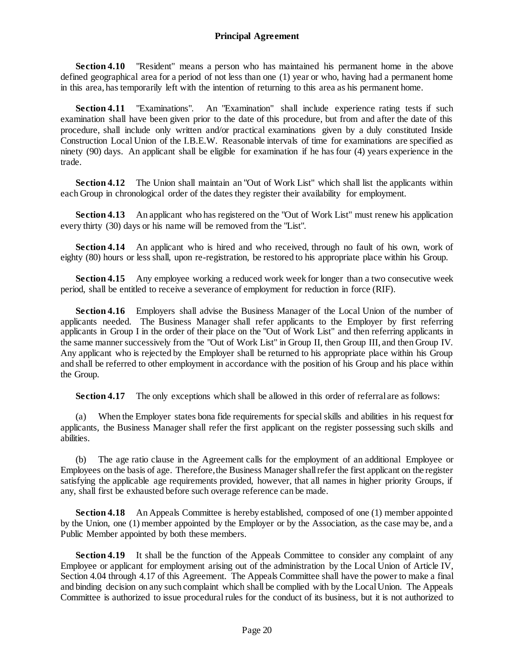**Section 4.10** "Resident" means a person who has maintained his permanent home in the above defined geographical area for a period of not less than one (1) year or who, having had a permanent home in this area, has temporarily left with the intention of returning to this area as his permanent home.

**Section 4.11** "Examinations". An "Examination" shall include experience rating tests if such examination shall have been given prior to the date of this procedure, but from and after the date of this procedure, shall include only written and/or practical examinations given by a duly constituted Inside Construction Local Union of the I.B.E.W. Reasonable intervals of time for examinations are specified as ninety (90) days. An applicant shall be eligible for examination if he has four (4) years experience in the trade.

Section 4.12 The Union shall maintain an "Out of Work List" which shall list the applicants within each Group in chronological order of the dates they register their availability for employment.

**Section 4.13** An applicant who has registered on the "Out of Work List" must renew his application every thirty (30) days or his name will be removed from the "List".

**Section 4.14** An applicant who is hired and who received, through no fault of his own, work of eighty (80) hours or less shall, upon re-registration, be restored to his appropriate place within his Group.

**Section 4.15** Any employee working a reduced work week for longer than a two consecutive week period, shall be entitled to receive a severance of employment for reduction in force (RIF).

**Section 4.16** Employers shall advise the Business Manager of the Local Union of the number of applicants needed. The Business Manager shall refer applicants to the Employer by first referring applicants in Group I in the order of their place on the "Out of Work List" and then referring applicants in the same manner successively from the "Out of Work List" in Group II, then Group III, and then Group IV. Any applicant who is rejected by the Employer shall be returned to his appropriate place within his Group and shall be referred to other employment in accordance with the position of his Group and his place within the Group.

**Section 4.17** The only exceptions which shall be allowed in this order of referral are as follows:

(a) When the Employer states bona fide requirements for special skills and abilities in his request for applicants, the Business Manager shall refer the first applicant on the register possessing such skills and abilities.

(b) The age ratio clause in the Agreement calls for the employment of an additional Employee or Employees on the basis of age. Therefore, the Business Manager shall refer the first applicant on the register satisfying the applicable age requirements provided, however, that all names in higher priority Groups, if any, shall first be exhausted before such overage reference can be made.

**Section 4.18** An Appeals Committee is hereby established, composed of one (1) member appointed by the Union, one (1) member appointed by the Employer or by the Association, as the case may be, and a Public Member appointed by both these members.

**Section 4.19** It shall be the function of the Appeals Committee to consider any complaint of any Employee or applicant for employment arising out of the administration by the Local Union of Article IV, Section 4.04 through 4.17 of this Agreement. The Appeals Committee shall have the power to make a final and binding decision on any such complaint which shall be complied with by the Local Union. The Appeals Committee is authorized to issue procedural rules for the conduct of its business, but it is not authorized to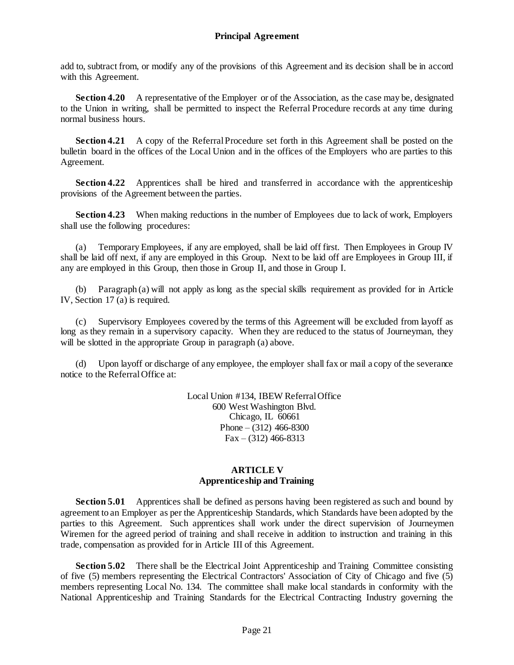add to, subtract from, or modify any of the provisions of this Agreement and its decision shall be in accord with this Agreement.

**Section 4.20** A representative of the Employer or of the Association, as the case may be, designated to the Union in writing, shall be permitted to inspect the Referral Procedure records at any time during normal business hours.

**Section 4.21** A copy of the Referral Procedure set forth in this Agreement shall be posted on the bulletin board in the offices of the Local Union and in the offices of the Employers who are parties to this Agreement.

**Section 4.22** Apprentices shall be hired and transferred in accordance with the apprenticeship provisions of the Agreement between the parties.

**Section 4.23** When making reductions in the number of Employees due to lack of work, Employers shall use the following procedures:

(a) Temporary Employees, if any are employed, shall be laid off first. Then Employees in Group IV shall be laid off next, if any are employed in this Group. Next to be laid off are Employees in Group III, if any are employed in this Group, then those in Group II, and those in Group I.

(b) Paragraph (a) will not apply as long as the special skills requirement as provided for in Article IV, Section 17 (a) is required.

(c) Supervisory Employees covered by the terms of this Agreement will be excluded from layoff as long as they remain in a supervisory capacity. When they are reduced to the status of Journeyman, they will be slotted in the appropriate Group in paragraph (a) above.

(d) Upon layoff or discharge of any employee, the employer shall fax or mail a copy of the severance notice to the Referral Office at:

> Local Union #134, IBEW Referral Office 600 West Washington Blvd. Chicago, IL 60661 Phone –  $(312)$  466-8300  $Fax - (312)$  466-8313

## **ARTICLE V Apprenticeship and Training**

<span id="page-24-1"></span><span id="page-24-0"></span>**Section 5.01** Apprentices shall be defined as persons having been registered as such and bound by agreement to an Employer as per the Apprenticeship Standards, which Standards have been adopted by the parties to this Agreement. Such apprentices shall work under the direct supervision of Journeymen Wiremen for the agreed period of training and shall receive in addition to instruction and training in this trade, compensation as provided for in Article III of this Agreement.

**Section 5.02** There shall be the Electrical Joint Apprenticeship and Training Committee consisting of five (5) members representing the Electrical Contractors' Association of City of Chicago and five (5) members representing Local No. 134. The committee shall make local standards in conformity with the National Apprenticeship and Training Standards for the Electrical Contracting Industry governing the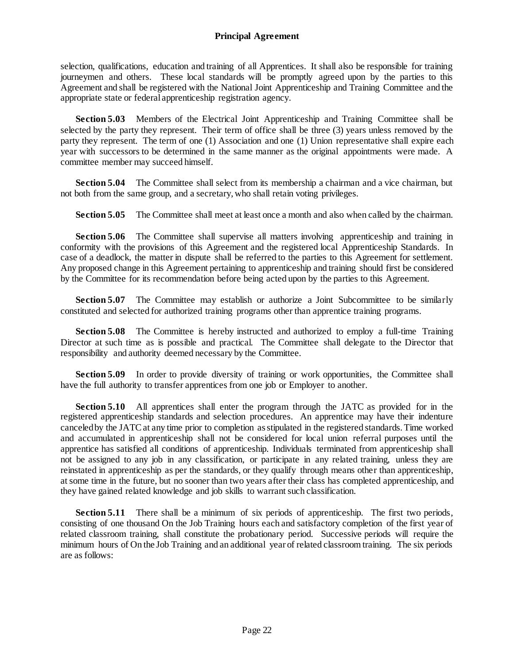selection, qualifications, education and training of all Apprentices. It shall also be responsible for training journeymen and others. These local standards will be promptly agreed upon by the parties to this Agreement and shall be registered with the National Joint Apprenticeship and Training Committee and the appropriate state or federal apprenticeship registration agency.

**Section 5.03** Members of the Electrical Joint Apprenticeship and Training Committee shall be selected by the party they represent. Their term of office shall be three (3) years unless removed by the party they represent. The term of one (1) Association and one (1) Union representative shall expire each year with successors to be determined in the same manner as the original appointments were made. A committee member may succeed himself.

**Section 5.04** The Committee shall select from its membership a chairman and a vice chairman, but not both from the same group, and a secretary, who shall retain voting privileges.

**Section 5.05** The Committee shall meet at least once a month and also when called by the chairman.

**Section 5.06** The Committee shall supervise all matters involving apprenticeship and training in conformity with the provisions of this Agreement and the registered local Apprenticeship Standards. In case of a deadlock, the matter in dispute shall be referred to the parties to this Agreement for settlement. Any proposed change in this Agreement pertaining to apprenticeship and training should first be considered by the Committee for its recommendation before being acted upon by the parties to this Agreement.

**Section 5.07** The Committee may establish or authorize a Joint Subcommittee to be similarly constituted and selected for authorized training programs other than apprentice training programs.

**Section 5.08** The Committee is hereby instructed and authorized to employ a full-time Training Director at such time as is possible and practical. The Committee shall delegate to the Director that responsibility and authority deemed necessary by the Committee.

**Section 5.09** In order to provide diversity of training or work opportunities, the Committee shall have the full authority to transfer apprentices from one job or Employer to another.

**Section 5.10** All apprentices shall enter the program through the JATC as provided for in the registered apprenticeship standards and selection procedures. An apprentice may have their indenture canceled by the JATC at any time prior to completion as stipulated in the registered standards. Time worked and accumulated in apprenticeship shall not be considered for local union referral purposes until the apprentice has satisfied all conditions of apprenticeship. Individuals terminated from apprenticeship shall not be assigned to any job in any classification, or participate in any related training, unless they are reinstated in apprenticeship as per the standards, or they qualify through means other than apprenticeship, at some time in the future, but no sooner than two years after their class has completed apprenticeship, and they have gained related knowledge and job skills to warrant such classification.

Section 5.11 There shall be a minimum of six periods of apprenticeship. The first two periods, consisting of one thousand On the Job Training hours each and satisfactory completion of the first year of related classroom training, shall constitute the probationary period. Successive periods will require the minimum hours of On the Job Training and an additional year of related classroom training. The six periods are as follows: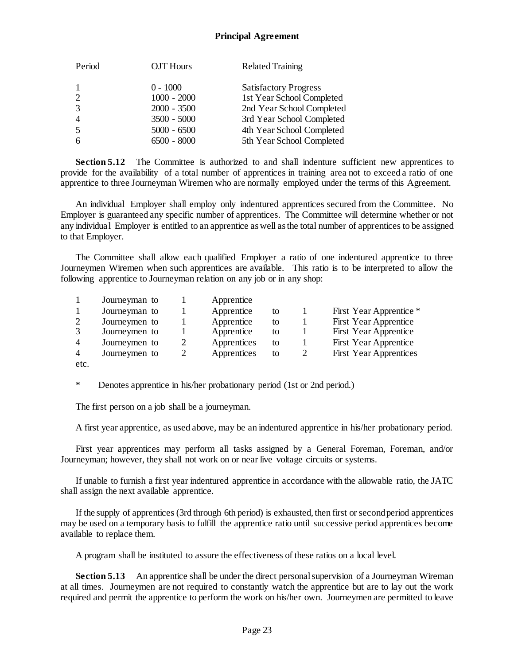| Period         | OJT Hours     | <b>Related Training</b>      |
|----------------|---------------|------------------------------|
| -1             | $0 - 1000$    | <b>Satisfactory Progress</b> |
| 2              | $1000 - 2000$ | 1st Year School Completed    |
| 3              | $2000 - 3500$ | 2nd Year School Completed    |
| $\overline{4}$ | $3500 - 5000$ | 3rd Year School Completed    |
| $\overline{5}$ | $5000 - 6500$ | 4th Year School Completed    |
| -6             | $6500 - 8000$ | 5th Year School Completed    |

**Section 5.12** The Committee is authorized to and shall indenture sufficient new apprentices to provide for the availability of a total number of apprentices in training area not to exceed a ratio of one apprentice to three Journeyman Wiremen who are normally employed under the terms of this Agreement.

An individual Employer shall employ only indentured apprentices secured from the Committee. No Employer is guaranteed any specific number of apprentices. The Committee will determine whether or not any individual Employer is entitled to an apprentice as well as the total number of apprentices to be assigned to that Employer.

The Committee shall allow each qualified Employer a ratio of one indentured apprentice to three Journeymen Wiremen when such apprentices are available. This ratio is to be interpreted to allow the following apprentice to Journeyman relation on any job or in any shop:

|                | Journeyman to | Apprentice  |    |                               |
|----------------|---------------|-------------|----|-------------------------------|
|                | Journeyman to | Apprentice  | to | First Year Apprentice *       |
| 2              | Journeymen to | Apprentice  | to | First Year Apprentice         |
| 3              | Journeymen to | Apprentice  | to | First Year Apprentice         |
| $\overline{4}$ | Journeymen to | Apprentices | to | First Year Apprentice         |
| $\overline{4}$ | Journeymen to | Apprentices | to | <b>First Year Apprentices</b> |
| etc.           |               |             |    |                               |

\* Denotes apprentice in his/her probationary period (1st or 2nd period.)

The first person on a job shall be a journeyman.

A first year apprentice, as used above, may be an indentured apprentice in his/her probationary period.

First year apprentices may perform all tasks assigned by a General Foreman, Foreman, and/or Journeyman; however, they shall not work on or near live voltage circuits or systems.

If unable to furnish a first year indentured apprentice in accordance with the allowable ratio, the JATC shall assign the next available apprentice.

If the supply of apprentices (3rd through 6th period) is exhausted, then first or second period apprentices may be used on a temporary basis to fulfill the apprentice ratio until successive period apprentices become available to replace them.

A program shall be instituted to assure the effectiveness of these ratios on a local level.

**Section 5.13** An apprentice shall be under the direct personal supervision of a Journeyman Wireman at all times. Journeymen are not required to constantly watch the apprentice but are to lay out the work required and permit the apprentice to perform the work on his/her own. Journeymen are permitted to leave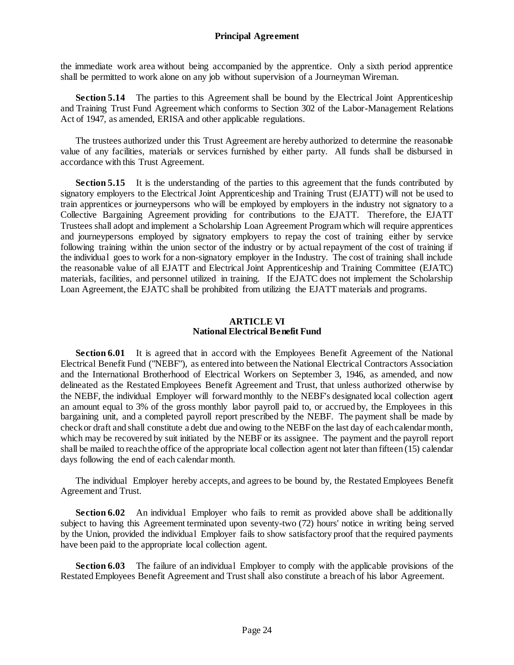the immediate work area without being accompanied by the apprentice. Only a sixth period apprentice shall be permitted to work alone on any job without supervision of a Journeyman Wireman.

**Section 5.14** The parties to this Agreement shall be bound by the Electrical Joint Apprenticeship and Training Trust Fund Agreement which conforms to Section 302 of the Labor-Management Relations Act of 1947, as amended, ERISA and other applicable regulations.

The trustees authorized under this Trust Agreement are hereby authorized to determine the reasonable value of any facilities, materials or services furnished by either party. All funds shall be disbursed in accordance with this Trust Agreement.

**Section 5.15** It is the understanding of the parties to this agreement that the funds contributed by signatory employers to the Electrical Joint Apprenticeship and Training Trust (EJATT) will not be used to train apprentices or journeypersons who will be employed by employers in the industry not signatory to a Collective Bargaining Agreement providing for contributions to the EJATT. Therefore, the EJATT Trustees shall adopt and implement a Scholarship Loan Agreement Program which will require apprentices and journeypersons employed by signatory employers to repay the cost of training either by service following training within the union sector of the industry or by actual repayment of the cost of training if the individual goes to work for a non-signatory employer in the Industry. The cost of training shall include the reasonable value of all EJATT and Electrical Joint Apprenticeship and Training Committee (EJATC) materials, facilities, and personnel utilized in training. If the EJATC does not implement the Scholarship Loan Agreement, the EJATC shall be prohibited from utilizing the EJATT materials and programs.

#### **ARTICLE VI National Electrical Benefit Fund**

<span id="page-27-1"></span><span id="page-27-0"></span>**Section 6.01** It is agreed that in accord with the Employees Benefit Agreement of the National Electrical Benefit Fund ("NEBF"), as entered into between the National Electrical Contractors Association and the International Brotherhood of Electrical Workers on September 3, 1946, as amended, and now delineated as the Restated Employees Benefit Agreement and Trust, that unless authorized otherwise by the NEBF, the individual Employer will forward monthly to the NEBF's designated local collection agent an amount equal to 3% of the gross monthly labor payroll paid to, or accrued by, the Employees in this bargaining unit, and a completed payroll report prescribed by the NEBF. The payment shall be made by check or draft and shall constitute a debt due and owing to the NEBF on the last day of each calendar month, which may be recovered by suit initiated by the NEBF or its assignee. The payment and the payroll report shall be mailed to reach the office of the appropriate local collection agent not later than fifteen (15) calendar days following the end of each calendar month.

The individual Employer hereby accepts, and agrees to be bound by, the Restated Employees Benefit Agreement and Trust.

**Section 6.02** An individual Employer who fails to remit as provided above shall be additionally subject to having this Agreement terminated upon seventy-two (72) hours' notice in writing being served by the Union, provided the individual Employer fails to show satisfactory proof that the required payments have been paid to the appropriate local collection agent.

**Section 6.03** The failure of an individual Employer to comply with the applicable provisions of the Restated Employees Benefit Agreement and Trust shall also constitute a breach of his labor Agreement.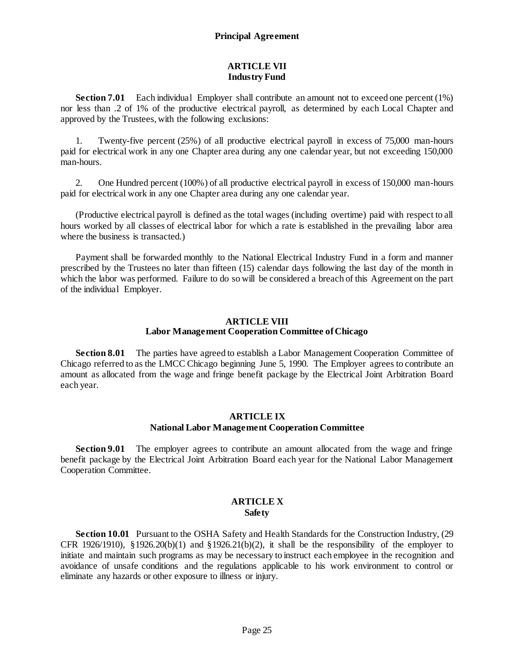## **ARTICLE VII Industry Fund**

<span id="page-28-1"></span><span id="page-28-0"></span>**Section 7.01** Each individual Employer shall contribute an amount not to exceed one percent (1%) nor less than .2 of 1% of the productive electrical payroll, as determined by each Local Chapter and approved by the Trustees, with the following exclusions:

1. Twenty-five percent (25%) of all productive electrical payroll in excess of 75,000 man-hours paid for electrical work in any one Chapter area during any one calendar year, but not exceeding 150,000 man-hours.

2. One Hundred percent (100%) of all productive electrical payroll in excess of 150,000 man-hours paid for electrical work in any one Chapter area during any one calendar year.

(Productive electrical payroll is defined as the total wages (including overtime) paid with respect to all hours worked by all classes of electrical labor for which a rate is established in the prevailing labor area where the business is transacted.)

Payment shall be forwarded monthly to the National Electrical Industry Fund in a form and manner prescribed by the Trustees no later than fifteen (15) calendar days following the last day of the month in which the labor was performed. Failure to do so will be considered a breach of this Agreement on the part of the individual Employer.

#### **ARTICLE VIII Labor Management Cooperation Committee of Chicago**

<span id="page-28-3"></span><span id="page-28-2"></span>**Section 8.01** The parties have agreed to establish a Labor Management Cooperation Committee of Chicago referred to as the LMCC Chicago beginning June 5, 1990. The Employer agrees to contribute an amount as allocated from the wage and fringe benefit package by the Electrical Joint Arbitration Board each year.

## **ARTICLE IX National Labor Management Cooperation Committee**

<span id="page-28-5"></span><span id="page-28-4"></span>**Section 9.01** The employer agrees to contribute an amount allocated from the wage and fringe benefit package by the Electrical Joint Arbitration Board each year for the National Labor Management Cooperation Committee.

#### **ARTICLE X Safety**

<span id="page-28-7"></span><span id="page-28-6"></span>**Section 10.01** Pursuant to the OSHA Safety and Health Standards for the Construction Industry, (29 CFR 1926/1910), §1926.20(b)(1) and §1926.21(b)(2), it shall be the responsibility of the employer to initiate and maintain such programs as may be necessary to instruct each employee in the recognition and avoidance of unsafe conditions and the regulations applicable to his work environment to control or eliminate any hazards or other exposure to illness or injury.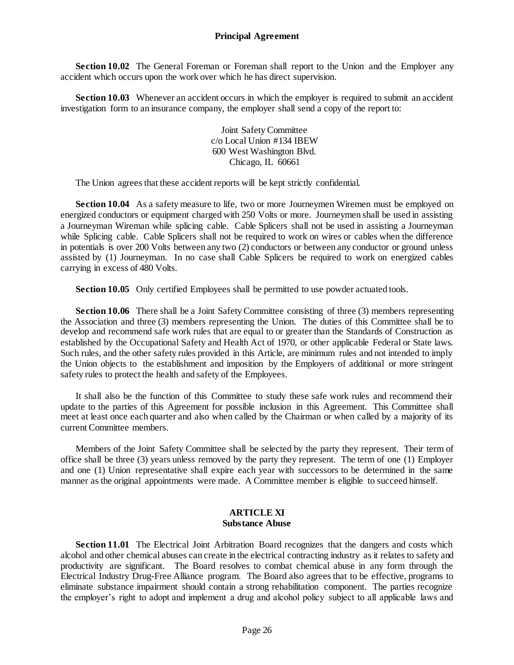**Section 10.02** The General Foreman or Foreman shall report to the Union and the Employer any accident which occurs upon the work over which he has direct supervision.

**Section 10.03** Whenever an accident occurs in which the employer is required to submit an accident investigation form to an insurance company, the employer shall send a copy of the report to:

> Joint Safety Committee c/o Local Union #134 IBEW 600 West Washington Blvd. Chicago, IL 60661

The Union agrees that these accident reports will be kept strictly confidential.

**Section 10.04** As a safety measure to life, two or more Journeymen Wiremen must be employed on energized conductors or equipment charged with 250 Volts or more. Journeymen shall be used in assisting a Journeyman Wireman while splicing cable. Cable Splicers shall not be used in assisting a Journeyman while Splicing cable. Cable Splicers shall not be required to work on wires or cables when the difference in potentials is over 200 Volts between any two (2) conductors or between any conductor or ground unless assisted by (1) Journeyman. In no case shall Cable Splicers be required to work on energized cables carrying in excess of 480 Volts.

**Section 10.05** Only certified Employees shall be permitted to use powder actuated tools.

**Section 10.06** There shall be a Joint Safety Committee consisting of three (3) members representing the Association and three (3) members representing the Union. The duties of this Committee shall be to develop and recommend safe work rules that are equal to or greater than the Standards of Construction as established by the Occupational Safety and Health Act of 1970, or other applicable Federal or State laws. Such rules, and the other safety rules provided in this Article, are minimum rules and not intended to imply the Union objects to the establishment and imposition by the Employers of additional or more stringent safety rules to protect the health and safety of the Employees.

It shall also be the function of this Committee to study these safe work rules and recommend their update to the parties of this Agreement for possible inclusion in this Agreement. This Committee shall meet at least once each quarter and also when called by the Chairman or when called by a majority of its current Committee members.

Members of the Joint Safety Committee shall be selected by the party they represent. Their term of office shall be three (3) years unless removed by the party they represent. The term of one (1) Employer and one (1) Union representative shall expire each year with successors to be determined in the same manner as the original appointments were made. A Committee member is eligible to succeed himself.

#### **ARTICLE XI Substance Abuse**

<span id="page-29-1"></span><span id="page-29-0"></span>**Section 11.01** The Electrical Joint Arbitration Board recognizes that the dangers and costs which alcohol and other chemical abuses can create in the electrical contracting industry as it relates to safety and productivity are significant. The Board resolves to combat chemical abuse in any form through the Electrical Industry Drug-Free Alliance program. The Board also agrees that to be effective, programs to eliminate substance impairment should contain a strong rehabilitation component. The parties recognize the employer's right to adopt and implement a drug and alcohol policy subject to all applicable laws and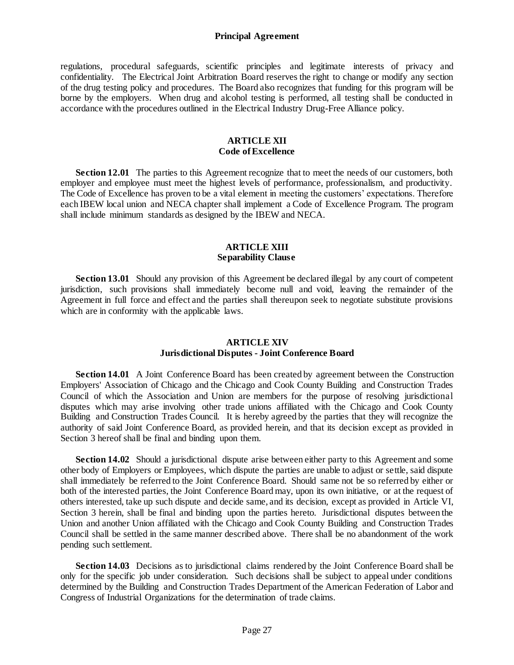regulations, procedural safeguards, scientific principles and legitimate interests of privacy and confidentiality. The Electrical Joint Arbitration Board reserves the right to change or modify any section of the drug testing policy and procedures. The Board also recognizes that funding for this program will be borne by the employers. When drug and alcohol testing is performed, all testing shall be conducted in accordance with the procedures outlined in the Electrical Industry Drug-Free Alliance policy.

## **ARTICLE XII Code of Excellence**

<span id="page-30-1"></span><span id="page-30-0"></span>**Section 12.01** The parties to this Agreement recognize that to meet the needs of our customers, both employer and employee must meet the highest levels of performance, professionalism, and productivity. The Code of Excellence has proven to be a vital element in meeting the customers' expectations. Therefore each IBEW local union and NECA chapter shall implement a Code of Excellence Program. The program shall include minimum standards as designed by the IBEW and NECA.

#### **ARTICLE XIII Separability Clause**

<span id="page-30-3"></span><span id="page-30-2"></span>**Section 13.01** Should any provision of this Agreement be declared illegal by any court of competent jurisdiction, such provisions shall immediately become null and void, leaving the remainder of the Agreement in full force and effect and the parties shall thereupon seek to negotiate substitute provisions which are in conformity with the applicable laws.

#### **ARTICLE XIV Jurisdictional Disputes - Joint Conference Board**

<span id="page-30-5"></span><span id="page-30-4"></span>**Section 14.01** A Joint Conference Board has been created by agreement between the Construction Employers' Association of Chicago and the Chicago and Cook County Building and Construction Trades Council of which the Association and Union are members for the purpose of resolving jurisdictional disputes which may arise involving other trade unions affiliated with the Chicago and Cook County Building and Construction Trades Council. It is hereby agreed by the parties that they will recognize the authority of said Joint Conference Board, as provided herein, and that its decision except as provided in Section 3 hereof shall be final and binding upon them.

**Section 14.02** Should a jurisdictional dispute arise between either party to this Agreement and some other body of Employers or Employees, which dispute the parties are unable to adjust or settle, said dispute shall immediately be referred to the Joint Conference Board. Should same not be so referred by either or both of the interested parties, the Joint Conference Board may, upon its own initiative, or at the request of others interested, take up such dispute and decide same, and its decision, except as provided in Article VI, Section 3 herein, shall be final and binding upon the parties hereto. Jurisdictional disputes between the Union and another Union affiliated with the Chicago and Cook County Building and Construction Trades Council shall be settled in the same manner described above. There shall be no abandonment of the work pending such settlement.

**Section 14.03** Decisions as to jurisdictional claims rendered by the Joint Conference Board shall be only for the specific job under consideration. Such decisions shall be subject to appeal under conditions determined by the Building and Construction Trades Department of the American Federation of Labor and Congress of Industrial Organizations for the determination of trade claims.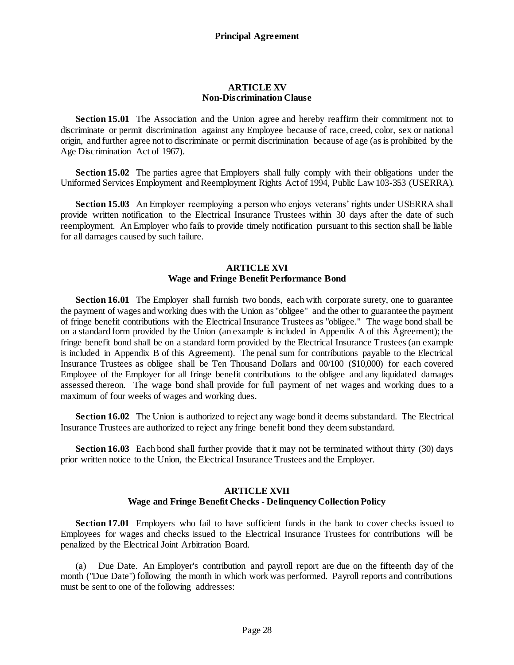#### **ARTICLE XV Non-Discrimination Clause**

<span id="page-31-1"></span><span id="page-31-0"></span>**Section 15.01** The Association and the Union agree and hereby reaffirm their commitment not to discriminate or permit discrimination against any Employee because of race, creed, color, sex or national origin, and further agree not to discriminate or permit discrimination because of age (as is prohibited by the Age Discrimination Act of 1967).

**Section 15.02** The parties agree that Employers shall fully comply with their obligations under the Uniformed Services Employment and Reemployment Rights Act of 1994, Public Law 103-353 (USERRA).

**Section 15.03** An Employer reemploying a person who enjoys veterans' rights under USERRA shall provide written notification to the Electrical Insurance Trustees within 30 days after the date of such reemployment. An Employer who fails to provide timely notification pursuant to this section shall be liable for all damages caused by such failure.

## **ARTICLE XVI Wage and Fringe Benefit Performance Bond**

<span id="page-31-3"></span><span id="page-31-2"></span>**Section 16.01** The Employer shall furnish two bonds, each with corporate surety, one to guarantee the payment of wages and working dues with the Union as "obligee" and the other to guarantee the payment of fringe benefit contributions with the Electrical Insurance Trustees as "obligee." The wage bond shall be on a standard form provided by the Union (an example is included in Appendix A of this Agreement); the fringe benefit bond shall be on a standard form provided by the Electrical Insurance Trustees (an example is included in Appendix B of this Agreement). The penal sum for contributions payable to the Electrical Insurance Trustees as obligee shall be Ten Thousand Dollars and 00/100 (\$10,000) for each covered Employee of the Employer for all fringe benefit contributions to the obligee and any liquidated damages assessed thereon. The wage bond shall provide for full payment of net wages and working dues to a maximum of four weeks of wages and working dues.

**Section 16.02** The Union is authorized to reject any wage bond it deems substandard. The Electrical Insurance Trustees are authorized to reject any fringe benefit bond they deem substandard.

**Section 16.03** Each bond shall further provide that it may not be terminated without thirty (30) days prior written notice to the Union, the Electrical Insurance Trustees and the Employer.

#### **ARTICLE XVII Wage and Fringe Benefit Checks - Delinquency Collection Policy**

<span id="page-31-5"></span><span id="page-31-4"></span>**Section 17.01** Employers who fail to have sufficient funds in the bank to cover checks issued to Employees for wages and checks issued to the Electrical Insurance Trustees for contributions will be penalized by the Electrical Joint Arbitration Board.

(a) Due Date. An Employer's contribution and payroll report are due on the fifteenth day of the month ("Due Date") following the month in which work was performed. Payroll reports and contributions must be sent to one of the following addresses: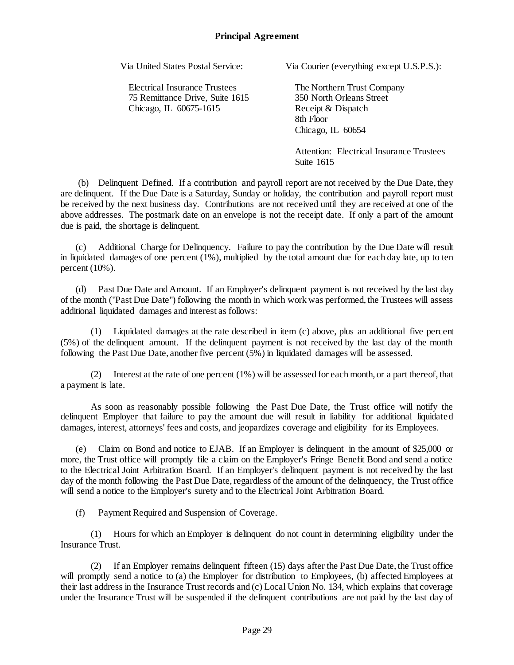Electrical Insurance Trustees The Northern Trust Company 75 Remittance Drive, Suite 1615 350 North Orleans Street Chicago, IL 60675-1615 Receipt & Dispatch

Via United States Postal Service: Via Courier (everything except U.S.P.S.):

8th Floor Chicago, IL 60654

Attention: Electrical Insurance Trustees Suite 1615

(b) Delinquent Defined. If a contribution and payroll report are not received by the Due Date, they are delinquent. If the Due Date is a Saturday, Sunday or holiday, the contribution and payroll report must be received by the next business day. Contributions are not received until they are received at one of the above addresses. The postmark date on an envelope is not the receipt date. If only a part of the amount due is paid, the shortage is delinquent.

(c) Additional Charge for Delinquency. Failure to pay the contribution by the Due Date will result in liquidated damages of one percent  $(1\%)$ , multiplied by the total amount due for each day late, up to ten percent (10%).

(d) Past Due Date and Amount. If an Employer's delinquent payment is not received by the last day of the month ("Past Due Date") following the month in which work was performed, the Trustees will assess additional liquidated damages and interest as follows:

(1) Liquidated damages at the rate described in item (c) above, plus an additional five percent (5%) of the delinquent amount. If the delinquent payment is not received by the last day of the month following the Past Due Date, another five percent (5%) in liquidated damages will be assessed.

(2) Interest at the rate of one percent (1%) will be assessed for each month, or a part thereof, that a payment is late.

As soon as reasonably possible following the Past Due Date, the Trust office will notify the delinquent Employer that failure to pay the amount due will result in liability for additional liquidated damages, interest, attorneys' fees and costs, and jeopardizes coverage and eligibility for its Employees.

(e) Claim on Bond and notice to EJAB. If an Employer is delinquent in the amount of \$25,000 or more, the Trust office will promptly file a claim on the Employer's Fringe Benefit Bond and send a notice to the Electrical Joint Arbitration Board. If an Employer's delinquent payment is not received by the last day of the month following the Past Due Date, regardless of the amount of the delinquency, the Trust office will send a notice to the Employer's surety and to the Electrical Joint Arbitration Board.

(f) Payment Required and Suspension of Coverage.

(1) Hours for which an Employer is delinquent do not count in determining eligibility under the Insurance Trust.

(2) If an Employer remains delinquent fifteen (15) days after the Past Due Date, the Trust office will promptly send a notice to (a) the Employer for distribution to Employees, (b) affected Employees at their last address in the Insurance Trust records and (c) Local Union No. 134, which explains that coverage under the Insurance Trust will be suspended if the delinquent contributions are not paid by the last day of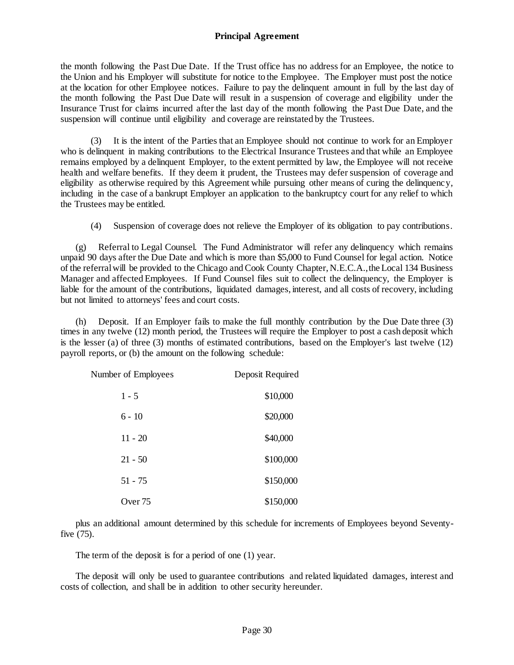the month following the Past Due Date. If the Trust office has no address for an Employee, the notice to the Union and his Employer will substitute for notice to the Employee. The Employer must post the notice at the location for other Employee notices. Failure to pay the delinquent amount in full by the last day of the month following the Past Due Date will result in a suspension of coverage and eligibility under the Insurance Trust for claims incurred after the last day of the month following the Past Due Date, and the suspension will continue until eligibility and coverage are reinstated by the Trustees.

(3) It is the intent of the Parties that an Employee should not continue to work for an Employer who is delinquent in making contributions to the Electrical Insurance Trustees and that while an Employee remains employed by a delinquent Employer, to the extent permitted by law, the Employee will not receive health and welfare benefits. If they deem it prudent, the Trustees may defer suspension of coverage and eligibility as otherwise required by this Agreement while pursuing other means of curing the delinquency, including in the case of a bankrupt Employer an application to the bankruptcy court for any relief to which the Trustees may be entitled.

(4) Suspension of coverage does not relieve the Employer of its obligation to pay contributions.

(g) Referral to Legal Counsel. The Fund Administrator will refer any delinquency which remains unpaid 90 days after the Due Date and which is more than \$5,000 to Fund Counsel for legal action. Notice of the referral will be provided to the Chicago and Cook County Chapter, N.E.C.A., the Local 134 Business Manager and affected Employees. If Fund Counsel files suit to collect the delinquency, the Employer is liable for the amount of the contributions, liquidated damages, interest, and all costs of recovery, including but not limited to attorneys' fees and court costs.

(h) Deposit. If an Employer fails to make the full monthly contribution by the Due Date three (3) times in any twelve (12) month period, the Trustees will require the Employer to post a cash deposit which is the lesser (a) of three (3) months of estimated contributions, based on the Employer's last twelve (12) payroll reports, or (b) the amount on the following schedule:

| Number of Employees | Deposit Required |
|---------------------|------------------|
| $1 - 5$             | \$10,000         |
| $6 - 10$            | \$20,000         |
| $11 - 20$           | \$40,000         |
| $21 - 50$           | \$100,000        |
| $51 - 75$           | \$150,000        |
| Over 75             | \$150,000        |

plus an additional amount determined by this schedule for increments of Employees beyond Seventyfive (75).

The term of the deposit is for a period of one (1) year.

The deposit will only be used to guarantee contributions and related liquidated damages, interest and costs of collection, and shall be in addition to other security hereunder.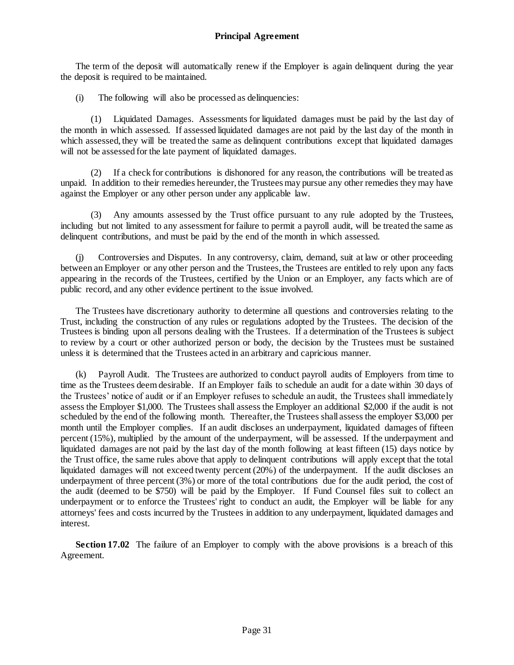The term of the deposit will automatically renew if the Employer is again delinquent during the year the deposit is required to be maintained.

(i) The following will also be processed as delinquencies:

(1) Liquidated Damages. Assessments for liquidated damages must be paid by the last day of the month in which assessed. If assessed liquidated damages are not paid by the last day of the month in which assessed, they will be treated the same as delinquent contributions except that liquidated damages will not be assessed for the late payment of liquidated damages.

(2) If a check for contributions is dishonored for any reason, the contributions will be treated as unpaid. In addition to their remedies hereunder, the Trustees may pursue any other remedies they may have against the Employer or any other person under any applicable law.

(3) Any amounts assessed by the Trust office pursuant to any rule adopted by the Trustees, including but not limited to any assessment for failure to permit a payroll audit, will be treated the same as delinquent contributions, and must be paid by the end of the month in which assessed.

(j) Controversies and Disputes. In any controversy, claim, demand, suit at law or other proceeding between an Employer or any other person and the Trustees, the Trustees are entitled to rely upon any facts appearing in the records of the Trustees, certified by the Union or an Employer, any facts which are of public record, and any other evidence pertinent to the issue involved.

The Trustees have discretionary authority to determine all questions and controversies relating to the Trust, including the construction of any rules or regulations adopted by the Trustees. The decision of the Trustees is binding upon all persons dealing with the Trustees. If a determination of the Trustees is subject to review by a court or other authorized person or body, the decision by the Trustees must be sustained unless it is determined that the Trustees acted in an arbitrary and capricious manner.

(k) Payroll Audit. The Trustees are authorized to conduct payroll audits of Employers from time to time as the Trustees deem desirable. If an Employer fails to schedule an audit for a date within 30 days of the Trustees' notice of audit or if an Employer refuses to schedule an audit, the Trustees shall immediately assess the Employer \$1,000. The Trustees shall assess the Employer an additional \$2,000 if the audit is not scheduled by the end of the following month. Thereafter, the Trustees shall assess the employer \$3,000 per month until the Employer complies. If an audit discloses an underpayment, liquidated damages of fifteen percent (15%), multiplied by the amount of the underpayment, will be assessed. If the underpayment and liquidated damages are not paid by the last day of the month following at least fifteen (15) days notice by the Trust office, the same rules above that apply to delinquent contributions will apply except that the total liquidated damages will not exceed twenty percent (20%) of the underpayment. If the audit discloses an underpayment of three percent (3%) or more of the total contributions due for the audit period, the cost of the audit (deemed to be \$750) will be paid by the Employer. If Fund Counsel files suit to collect an underpayment or to enforce the Trustees' right to conduct an audit, the Employer will be liable for any attorneys' fees and costs incurred by the Trustees in addition to any underpayment, liquidated damages and interest.

Section 17.02 The failure of an Employer to comply with the above provisions is a breach of this Agreement.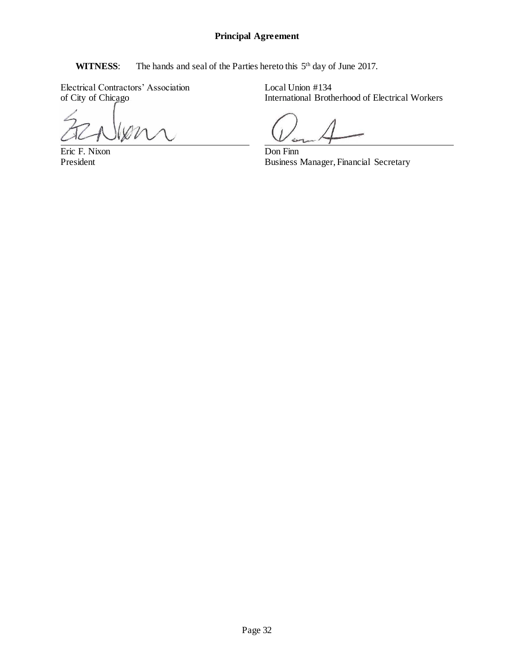<span id="page-35-0"></span>WITNESS: The hands and seal of the Parties hereto this 5<sup>th</sup> day of June 2017.

Electrical Contractors' Association Local Union #134<br>of City of Chicago International Broth

Eric F. Nixon Don Finn<br>President Business

International Brotherhood of Electrical Workers

Business Manager, Financial Secretary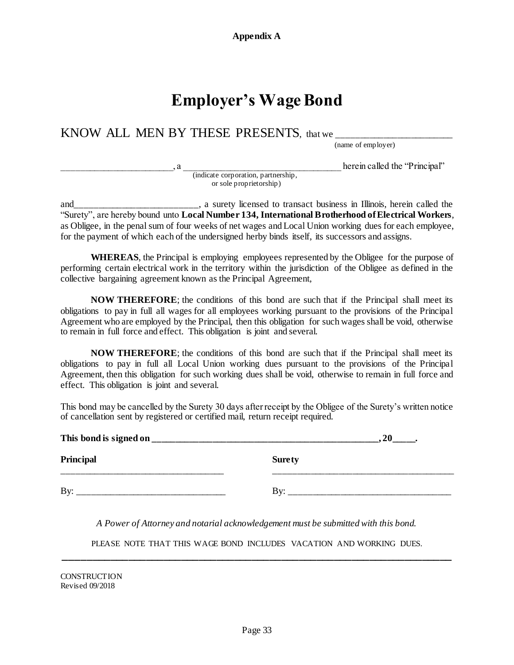## **Employer's Wage Bond**

<span id="page-36-0"></span>KNOW ALL MEN BY THESE PRESENTS, that we

(name of employer)

herein called the "Principal"

 (indicate corporation, partnership, or sole proprietorship)

and\_\_\_\_\_\_\_\_\_\_\_\_\_\_\_\_\_\_\_\_\_\_\_\_\_\_, a surety licensed to transact business in Illinois, herein called the "Surety", are hereby bound unto **Local Number 134, International Brotherhood of Electrical Workers**, as Obligee, in the penal sum of four weeks of net wages and Local Union working dues for each employee, for the payment of which each of the undersigned herby binds itself, its successors and assigns.

WHEREAS, the Principal is employing employees represented by the Obligee for the purpose of performing certain electrical work in the territory within the jurisdiction of the Obligee as defined in the collective bargaining agreement known as the Principal Agreement,

**NOW THEREFORE**; the conditions of this bond are such that if the Principal shall meet its obligations to pay in full all wages for all employees working pursuant to the provisions of the Principal Agreement who are employed by the Principal, then this obligation for such wages shall be void, otherwise to remain in full force and effect. This obligation is joint and several.

**NOW THEREFORE**; the conditions of this bond are such that if the Principal shall meet its obligations to pay in full all Local Union working dues pursuant to the provisions of the Principal Agreement, then this obligation for such working dues shall be void, otherwise to remain in full force and effect. This obligation is joint and several.

This bond may be cancelled by the Surety 30 days after receipt by the Obligee of the Surety's written notice of cancellation sent by registered or certified mail, return receipt required.

| This bond is signed on |               |  |
|------------------------|---------------|--|
| <b>Principal</b>       | <b>Surety</b> |  |
| By:                    | Rw.           |  |

*A Power of Attorney and notarial acknowledgement must be submitted with this bond.*

PLEASE NOTE THAT THIS WAGE BOND INCLUDES VACATION AND WORKING DUES. **\_\_\_\_\_\_\_\_\_\_\_\_\_\_\_\_\_\_\_\_\_\_\_\_\_\_\_\_\_\_\_\_\_\_\_\_\_\_\_\_\_\_\_\_\_\_\_\_\_\_\_\_\_\_\_\_\_\_\_\_\_\_\_\_\_\_**

**CONSTRUCTION** Revised 09/2018